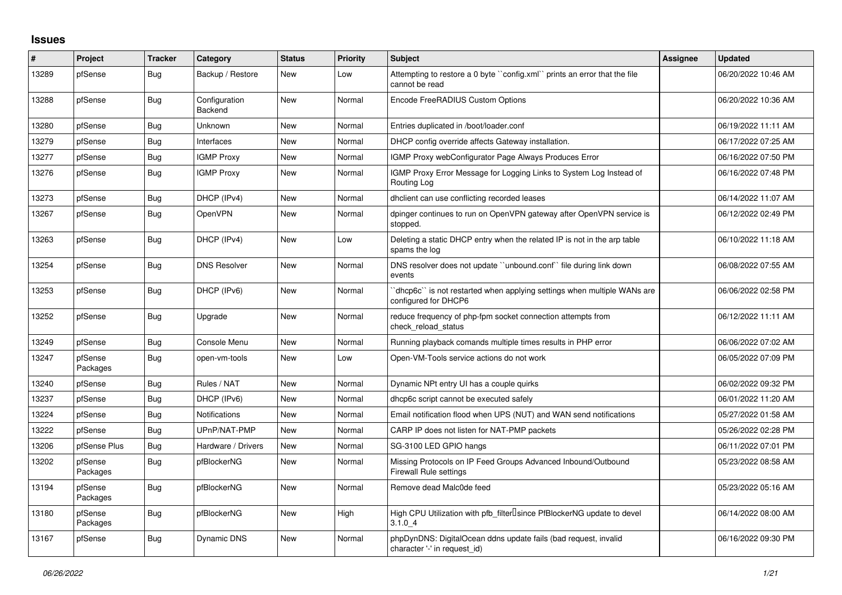## **Issues**

| #     | Project             | <b>Tracker</b> | Category                 | <b>Status</b> | <b>Priority</b> | <b>Subject</b>                                                                                  | Assignee | <b>Updated</b>      |
|-------|---------------------|----------------|--------------------------|---------------|-----------------|-------------------------------------------------------------------------------------------------|----------|---------------------|
| 13289 | pfSense             | <b>Bug</b>     | Backup / Restore         | New           | Low             | Attempting to restore a 0 byte ``config.xml`` prints an error that the file<br>cannot be read   |          | 06/20/2022 10:46 AM |
| 13288 | pfSense             | Bug            | Configuration<br>Backend | New           | Normal          | Encode FreeRADIUS Custom Options                                                                |          | 06/20/2022 10:36 AM |
| 13280 | pfSense             | Bug            | Unknown                  | New           | Normal          | Entries duplicated in /boot/loader.conf                                                         |          | 06/19/2022 11:11 AM |
| 13279 | pfSense             | <b>Bug</b>     | Interfaces               | New           | Normal          | DHCP config override affects Gateway installation.                                              |          | 06/17/2022 07:25 AM |
| 13277 | pfSense             | <b>Bug</b>     | <b>IGMP Proxy</b>        | New           | Normal          | IGMP Proxy webConfigurator Page Always Produces Error                                           |          | 06/16/2022 07:50 PM |
| 13276 | pfSense             | <b>Bug</b>     | <b>IGMP Proxy</b>        | <b>New</b>    | Normal          | IGMP Proxy Error Message for Logging Links to System Log Instead of<br>Routing Log              |          | 06/16/2022 07:48 PM |
| 13273 | pfSense             | <b>Bug</b>     | DHCP (IPv4)              | <b>New</b>    | Normal          | dhclient can use conflicting recorded leases                                                    |          | 06/14/2022 11:07 AM |
| 13267 | pfSense             | <b>Bug</b>     | <b>OpenVPN</b>           | New           | Normal          | dpinger continues to run on OpenVPN gateway after OpenVPN service is<br>stopped.                |          | 06/12/2022 02:49 PM |
| 13263 | pfSense             | Bug            | DHCP (IPv4)              | <b>New</b>    | Low             | Deleting a static DHCP entry when the related IP is not in the arp table<br>spams the log       |          | 06/10/2022 11:18 AM |
| 13254 | pfSense             | <b>Bug</b>     | <b>DNS Resolver</b>      | New           | Normal          | DNS resolver does not update "unbound.conf" file during link down<br>events                     |          | 06/08/2022 07:55 AM |
| 13253 | pfSense             | Bug            | DHCP (IPv6)              | New           | Normal          | dhcp6c" is not restarted when applying settings when multiple WANs are<br>configured for DHCP6  |          | 06/06/2022 02:58 PM |
| 13252 | pfSense             | <b>Bug</b>     | Upgrade                  | <b>New</b>    | Normal          | reduce frequency of php-fpm socket connection attempts from<br>check reload status              |          | 06/12/2022 11:11 AM |
| 13249 | pfSense             | <b>Bug</b>     | Console Menu             | New           | Normal          | Running playback comands multiple times results in PHP error                                    |          | 06/06/2022 07:02 AM |
| 13247 | pfSense<br>Packages | <b>Bug</b>     | open-vm-tools            | New           | Low             | Open-VM-Tools service actions do not work                                                       |          | 06/05/2022 07:09 PM |
| 13240 | pfSense             | Bug            | Rules / NAT              | <b>New</b>    | Normal          | Dynamic NPt entry UI has a couple quirks                                                        |          | 06/02/2022 09:32 PM |
| 13237 | pfSense             | <b>Bug</b>     | DHCP (IPv6)              | New           | Normal          | dhcp6c script cannot be executed safely                                                         |          | 06/01/2022 11:20 AM |
| 13224 | pfSense             | <b>Bug</b>     | <b>Notifications</b>     | New           | Normal          | Email notification flood when UPS (NUT) and WAN send notifications                              |          | 05/27/2022 01:58 AM |
| 13222 | pfSense             | <b>Bug</b>     | UPnP/NAT-PMP             | <b>New</b>    | Normal          | CARP IP does not listen for NAT-PMP packets                                                     |          | 05/26/2022 02:28 PM |
| 13206 | pfSense Plus        | <b>Bug</b>     | Hardware / Drivers       | <b>New</b>    | Normal          | SG-3100 LED GPIO hangs                                                                          |          | 06/11/2022 07:01 PM |
| 13202 | pfSense<br>Packages | Bug            | pfBlockerNG              | New           | Normal          | Missing Protocols on IP Feed Groups Advanced Inbound/Outbound<br><b>Firewall Rule settings</b>  |          | 05/23/2022 08:58 AM |
| 13194 | pfSense<br>Packages | Bug            | pfBlockerNG              | New           | Normal          | Remove dead Malc0de feed                                                                        |          | 05/23/2022 05:16 AM |
| 13180 | pfSense<br>Packages | <b>Bug</b>     | pfBlockerNG              | <b>New</b>    | High            | High CPU Utilization with pfb_filter <sup>[]</sup> since PfBlockerNG update to devel<br>3.1.04  |          | 06/14/2022 08:00 AM |
| 13167 | pfSense             | <b>Bug</b>     | <b>Dynamic DNS</b>       | <b>New</b>    | Normal          | phpDynDNS: DigitalOcean ddns update fails (bad request, invalid<br>character '-' in request_id) |          | 06/16/2022 09:30 PM |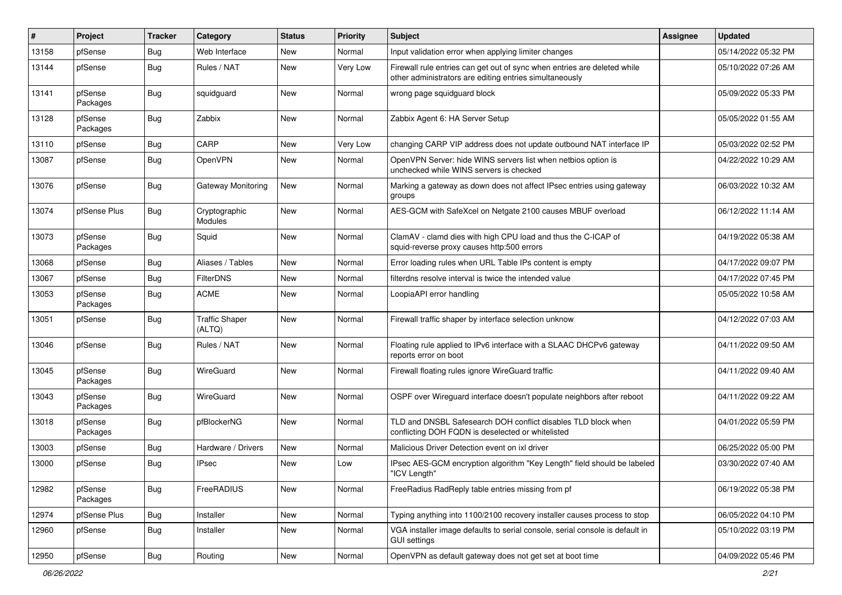| #     | Project             | <b>Tracker</b> | Category                        | <b>Status</b> | <b>Priority</b> | Subject                                                                                                                             | <b>Assignee</b> | <b>Updated</b>      |
|-------|---------------------|----------------|---------------------------------|---------------|-----------------|-------------------------------------------------------------------------------------------------------------------------------------|-----------------|---------------------|
| 13158 | pfSense             | Bug            | Web Interface                   | New           | Normal          | Input validation error when applying limiter changes                                                                                |                 | 05/14/2022 05:32 PM |
| 13144 | pfSense             | Bug            | Rules / NAT                     | New           | Very Low        | Firewall rule entries can get out of sync when entries are deleted while<br>other administrators are editing entries simultaneously |                 | 05/10/2022 07:26 AM |
| 13141 | pfSense<br>Packages | Bug            | squidguard                      | New           | Normal          | wrong page squidguard block                                                                                                         |                 | 05/09/2022 05:33 PM |
| 13128 | pfSense<br>Packages | Bug            | Zabbix                          | <b>New</b>    | Normal          | Zabbix Agent 6: HA Server Setup                                                                                                     |                 | 05/05/2022 01:55 AM |
| 13110 | pfSense             | Bug            | CARP                            | New           | Very Low        | changing CARP VIP address does not update outbound NAT interface IP                                                                 |                 | 05/03/2022 02:52 PM |
| 13087 | pfSense             | Bug            | OpenVPN                         | New           | Normal          | OpenVPN Server: hide WINS servers list when netbios option is<br>unchecked while WINS servers is checked                            |                 | 04/22/2022 10:29 AM |
| 13076 | pfSense             | Bug            | Gateway Monitoring              | New           | Normal          | Marking a gateway as down does not affect IPsec entries using gateway<br>groups                                                     |                 | 06/03/2022 10:32 AM |
| 13074 | pfSense Plus        | Bug            | Cryptographic<br>Modules        | <b>New</b>    | Normal          | AES-GCM with SafeXcel on Netgate 2100 causes MBUF overload                                                                          |                 | 06/12/2022 11:14 AM |
| 13073 | pfSense<br>Packages | Bug            | Squid                           | <b>New</b>    | Normal          | ClamAV - clamd dies with high CPU load and thus the C-ICAP of<br>squid-reverse proxy causes http:500 errors                         |                 | 04/19/2022 05:38 AM |
| 13068 | pfSense             | Bug            | Aliases / Tables                | New           | Normal          | Error loading rules when URL Table IPs content is empty                                                                             |                 | 04/17/2022 09:07 PM |
| 13067 | pfSense             | Bug            | <b>FilterDNS</b>                | New           | Normal          | filterdns resolve interval is twice the intended value                                                                              |                 | 04/17/2022 07:45 PM |
| 13053 | pfSense<br>Packages | Bug            | <b>ACME</b>                     | New           | Normal          | LoopiaAPI error handling                                                                                                            |                 | 05/05/2022 10:58 AM |
| 13051 | pfSense             | Bug            | <b>Traffic Shaper</b><br>(ALTQ) | New           | Normal          | Firewall traffic shaper by interface selection unknow                                                                               |                 | 04/12/2022 07:03 AM |
| 13046 | pfSense             | Bug            | Rules / NAT                     | New           | Normal          | Floating rule applied to IPv6 interface with a SLAAC DHCPv6 gateway<br>reports error on boot                                        |                 | 04/11/2022 09:50 AM |
| 13045 | pfSense<br>Packages | Bug            | WireGuard                       | New           | Normal          | Firewall floating rules ignore WireGuard traffic                                                                                    |                 | 04/11/2022 09:40 AM |
| 13043 | pfSense<br>Packages | <b>Bug</b>     | WireGuard                       | New           | Normal          | OSPF over Wireguard interface doesn't populate neighbors after reboot                                                               |                 | 04/11/2022 09:22 AM |
| 13018 | pfSense<br>Packages | Bug            | pfBlockerNG                     | New           | Normal          | TLD and DNSBL Safesearch DOH conflict disables TLD block when<br>conflicting DOH FQDN is deselected or whitelisted                  |                 | 04/01/2022 05:59 PM |
| 13003 | pfSense             | Bug            | Hardware / Drivers              | <b>New</b>    | Normal          | Malicious Driver Detection event on ixl driver                                                                                      |                 | 06/25/2022 05:00 PM |
| 13000 | pfSense             | Bug            | <b>IPsec</b>                    | New           | Low             | IPsec AES-GCM encryption algorithm "Key Length" field should be labeled<br>"ICV Length"                                             |                 | 03/30/2022 07:40 AM |
| 12982 | pfSense<br>Packages | Bug            | FreeRADIUS                      | New           | Normal          | FreeRadius RadReply table entries missing from pf                                                                                   |                 | 06/19/2022 05:38 PM |
| 12974 | pfSense Plus        | Bug            | Installer                       | New           | Normal          | Typing anything into 1100/2100 recovery installer causes process to stop                                                            |                 | 06/05/2022 04:10 PM |
| 12960 | pfSense             | <b>Bug</b>     | Installer                       | New           | Normal          | VGA installer image defaults to serial console, serial console is default in<br><b>GUI settings</b>                                 |                 | 05/10/2022 03:19 PM |
| 12950 | pfSense             | <b>Bug</b>     | Routing                         | New           | Normal          | OpenVPN as default gateway does not get set at boot time                                                                            |                 | 04/09/2022 05:46 PM |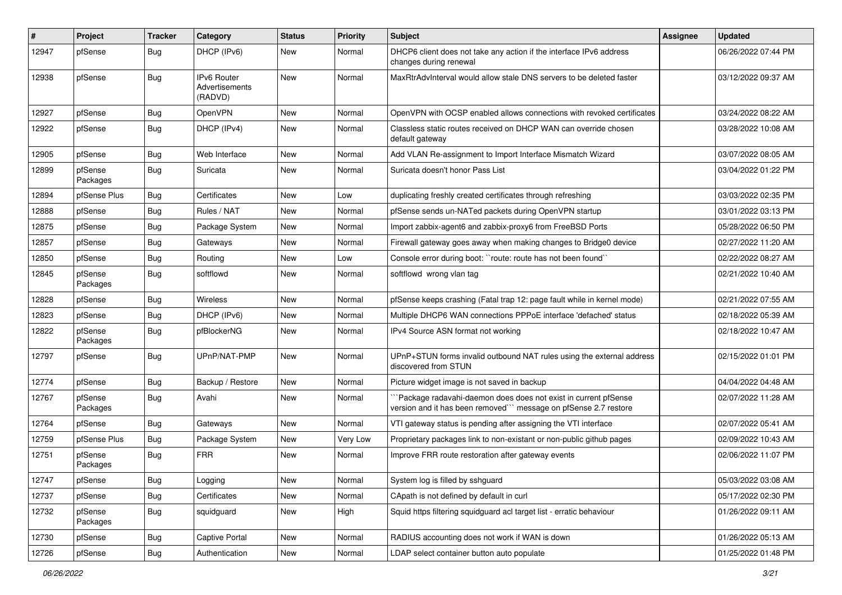| $\sharp$ | Project             | <b>Tracker</b> | Category                                        | <b>Status</b> | <b>Priority</b> | <b>Subject</b>                                                                                                                     | Assignee | <b>Updated</b>      |
|----------|---------------------|----------------|-------------------------------------------------|---------------|-----------------|------------------------------------------------------------------------------------------------------------------------------------|----------|---------------------|
| 12947    | pfSense             | Bug            | DHCP (IPv6)                                     | New           | Normal          | DHCP6 client does not take any action if the interface IPv6 address<br>changes during renewal                                      |          | 06/26/2022 07:44 PM |
| 12938    | pfSense             | Bug            | <b>IPv6 Router</b><br>Advertisements<br>(RADVD) | <b>New</b>    | Normal          | MaxRtrAdvInterval would allow stale DNS servers to be deleted faster                                                               |          | 03/12/2022 09:37 AM |
| 12927    | pfSense             | Bug            | OpenVPN                                         | New           | Normal          | OpenVPN with OCSP enabled allows connections with revoked certificates                                                             |          | 03/24/2022 08:22 AM |
| 12922    | pfSense             | Bug            | DHCP (IPv4)                                     | New           | Normal          | Classless static routes received on DHCP WAN can override chosen<br>default gateway                                                |          | 03/28/2022 10:08 AM |
| 12905    | pfSense             | Bug            | Web Interface                                   | New           | Normal          | Add VLAN Re-assignment to Import Interface Mismatch Wizard                                                                         |          | 03/07/2022 08:05 AM |
| 12899    | pfSense<br>Packages | Bug            | Suricata                                        | New           | Normal          | Suricata doesn't honor Pass List                                                                                                   |          | 03/04/2022 01:22 PM |
| 12894    | pfSense Plus        | Bug            | Certificates                                    | New           | Low             | duplicating freshly created certificates through refreshing                                                                        |          | 03/03/2022 02:35 PM |
| 12888    | pfSense             | <b>Bug</b>     | Rules / NAT                                     | New           | Normal          | pfSense sends un-NATed packets during OpenVPN startup                                                                              |          | 03/01/2022 03:13 PM |
| 12875    | pfSense             | Bug            | Package System                                  | New           | Normal          | Import zabbix-agent6 and zabbix-proxy6 from FreeBSD Ports                                                                          |          | 05/28/2022 06:50 PM |
| 12857    | pfSense             | Bug            | Gateways                                        | New           | Normal          | Firewall gateway goes away when making changes to Bridge0 device                                                                   |          | 02/27/2022 11:20 AM |
| 12850    | pfSense             | Bug            | Routing                                         | New           | Low             | Console error during boot: "route: route has not been found"                                                                       |          | 02/22/2022 08:27 AM |
| 12845    | pfSense<br>Packages | Bug            | softflowd                                       | New           | Normal          | softflowd wrong vlan tag                                                                                                           |          | 02/21/2022 10:40 AM |
| 12828    | pfSense             | Bug            | Wireless                                        | New           | Normal          | pfSense keeps crashing (Fatal trap 12: page fault while in kernel mode)                                                            |          | 02/21/2022 07:55 AM |
| 12823    | pfSense             | <b>Bug</b>     | DHCP (IPv6)                                     | New           | Normal          | Multiple DHCP6 WAN connections PPPoE interface 'defached' status                                                                   |          | 02/18/2022 05:39 AM |
| 12822    | pfSense<br>Packages | <b>Bug</b>     | pfBlockerNG                                     | New           | Normal          | IPv4 Source ASN format not working                                                                                                 |          | 02/18/2022 10:47 AM |
| 12797    | pfSense             | Bug            | UPnP/NAT-PMP                                    | New           | Normal          | UPnP+STUN forms invalid outbound NAT rules using the external address<br>discovered from STUN                                      |          | 02/15/2022 01:01 PM |
| 12774    | pfSense             | Bug            | Backup / Restore                                | New           | Normal          | Picture widget image is not saved in backup                                                                                        |          | 04/04/2022 04:48 AM |
| 12767    | pfSense<br>Packages | Bug            | Avahi                                           | New           | Normal          | Package radavahi-daemon does does not exist in current pfSense<br>version and it has been removed"" message on pfSense 2.7 restore |          | 02/07/2022 11:28 AM |
| 12764    | pfSense             | <b>Bug</b>     | Gateways                                        | New           | Normal          | VTI gateway status is pending after assigning the VTI interface                                                                    |          | 02/07/2022 05:41 AM |
| 12759    | pfSense Plus        | <b>Bug</b>     | Package System                                  | New           | Very Low        | Proprietary packages link to non-existant or non-public github pages                                                               |          | 02/09/2022 10:43 AM |
| 12751    | pfSense<br>Packages | Bug            | <b>FRR</b>                                      | New           | Normal          | Improve FRR route restoration after gateway events                                                                                 |          | 02/06/2022 11:07 PM |
| 12747    | pfSense             | <b>Bug</b>     | Logging                                         | New           | Normal          | System log is filled by sshguard                                                                                                   |          | 05/03/2022 03:08 AM |
| 12737    | pfSense             | <b>Bug</b>     | Certificates                                    | New           | Normal          | CApath is not defined by default in curl                                                                                           |          | 05/17/2022 02:30 PM |
| 12732    | pfSense<br>Packages | <b>Bug</b>     | squidguard                                      | New           | High            | Squid https filtering squidguard acl target list - erratic behaviour                                                               |          | 01/26/2022 09:11 AM |
| 12730    | pfSense             | <b>Bug</b>     | Captive Portal                                  | New           | Normal          | RADIUS accounting does not work if WAN is down                                                                                     |          | 01/26/2022 05:13 AM |
| 12726    | pfSense             | Bug            | Authentication                                  | New           | Normal          | LDAP select container button auto populate                                                                                         |          | 01/25/2022 01:48 PM |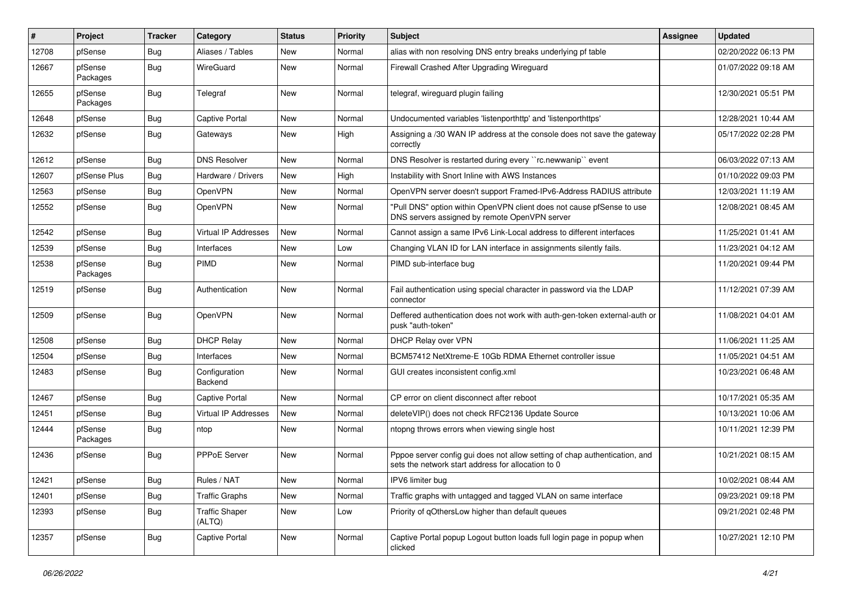| $\vert$ # | Project             | <b>Tracker</b> | Category                        | <b>Status</b> | <b>Priority</b> | Subject                                                                                                                          | <b>Assignee</b> | <b>Updated</b>      |
|-----------|---------------------|----------------|---------------------------------|---------------|-----------------|----------------------------------------------------------------------------------------------------------------------------------|-----------------|---------------------|
| 12708     | pfSense             | Bug            | Aliases / Tables                | New           | Normal          | alias with non resolving DNS entry breaks underlying pf table                                                                    |                 | 02/20/2022 06:13 PM |
| 12667     | pfSense<br>Packages | Bug            | WireGuard                       | New           | Normal          | Firewall Crashed After Upgrading Wireguard                                                                                       |                 | 01/07/2022 09:18 AM |
| 12655     | pfSense<br>Packages | <b>Bug</b>     | Telegraf                        | New           | Normal          | telegraf, wireguard plugin failing                                                                                               |                 | 12/30/2021 05:51 PM |
| 12648     | pfSense             | Bug            | <b>Captive Portal</b>           | <b>New</b>    | Normal          | Undocumented variables 'listenporthttp' and 'listenporthttps'                                                                    |                 | 12/28/2021 10:44 AM |
| 12632     | pfSense             | Bug            | Gateways                        | New           | High            | Assigning a /30 WAN IP address at the console does not save the gateway<br>correctly                                             |                 | 05/17/2022 02:28 PM |
| 12612     | pfSense             | Bug            | <b>DNS Resolver</b>             | New           | Normal          | DNS Resolver is restarted during every "rc.newwanip" event                                                                       |                 | 06/03/2022 07:13 AM |
| 12607     | pfSense Plus        | Bug            | Hardware / Drivers              | <b>New</b>    | High            | Instability with Snort Inline with AWS Instances                                                                                 |                 | 01/10/2022 09:03 PM |
| 12563     | pfSense             | Bug            | OpenVPN                         | New           | Normal          | OpenVPN server doesn't support Framed-IPv6-Address RADIUS attribute                                                              |                 | 12/03/2021 11:19 AM |
| 12552     | pfSense             | Bug            | OpenVPN                         | New           | Normal          | "Pull DNS" option within OpenVPN client does not cause pfSense to use<br>DNS servers assigned by remote OpenVPN server           |                 | 12/08/2021 08:45 AM |
| 12542     | pfSense             | Bug            | <b>Virtual IP Addresses</b>     | <b>New</b>    | Normal          | Cannot assign a same IPv6 Link-Local address to different interfaces                                                             |                 | 11/25/2021 01:41 AM |
| 12539     | pfSense             | Bug            | Interfaces                      | New           | Low             | Changing VLAN ID for LAN interface in assignments silently fails.                                                                |                 | 11/23/2021 04:12 AM |
| 12538     | pfSense<br>Packages | <b>Bug</b>     | PIMD                            | New           | Normal          | PIMD sub-interface bug                                                                                                           |                 | 11/20/2021 09:44 PM |
| 12519     | pfSense             | Bug            | Authentication                  | New           | Normal          | Fail authentication using special character in password via the LDAP<br>connector                                                |                 | 11/12/2021 07:39 AM |
| 12509     | pfSense             | Bug            | OpenVPN                         | New           | Normal          | Deffered authentication does not work with auth-gen-token external-auth or<br>pusk "auth-token"                                  |                 | 11/08/2021 04:01 AM |
| 12508     | pfSense             | Bug            | <b>DHCP Relay</b>               | New           | Normal          | DHCP Relay over VPN                                                                                                              |                 | 11/06/2021 11:25 AM |
| 12504     | pfSense             | <b>Bug</b>     | Interfaces                      | New           | Normal          | BCM57412 NetXtreme-E 10Gb RDMA Ethernet controller issue                                                                         |                 | 11/05/2021 04:51 AM |
| 12483     | pfSense             | <b>Bug</b>     | Configuration<br>Backend        | New           | Normal          | GUI creates inconsistent config.xml                                                                                              |                 | 10/23/2021 06:48 AM |
| 12467     | pfSense             | Bug            | <b>Captive Portal</b>           | New           | Normal          | CP error on client disconnect after reboot                                                                                       |                 | 10/17/2021 05:35 AM |
| 12451     | pfSense             | <b>Bug</b>     | Virtual IP Addresses            | New           | Normal          | deleteVIP() does not check RFC2136 Update Source                                                                                 |                 | 10/13/2021 10:06 AM |
| 12444     | pfSense<br>Packages | Bug            | ntop                            | New           | Normal          | ntopng throws errors when viewing single host                                                                                    |                 | 10/11/2021 12:39 PM |
| 12436     | pfSense             | Bug            | PPPoE Server                    | New           | Normal          | Pppoe server config gui does not allow setting of chap authentication, and<br>sets the network start address for allocation to 0 |                 | 10/21/2021 08:15 AM |
| 12421     | pfSense             | <b>Bug</b>     | Rules / NAT                     | New           | Normal          | IPV6 limiter bug                                                                                                                 |                 | 10/02/2021 08:44 AM |
| 12401     | pfSense             | <b>Bug</b>     | <b>Traffic Graphs</b>           | New           | Normal          | Traffic graphs with untagged and tagged VLAN on same interface                                                                   |                 | 09/23/2021 09:18 PM |
| 12393     | pfSense             | <b>Bug</b>     | <b>Traffic Shaper</b><br>(ALTQ) | New           | Low             | Priority of gOthersLow higher than default queues                                                                                |                 | 09/21/2021 02:48 PM |
| 12357     | pfSense             | <b>Bug</b>     | Captive Portal                  | New           | Normal          | Captive Portal popup Logout button loads full login page in popup when<br>clicked                                                |                 | 10/27/2021 12:10 PM |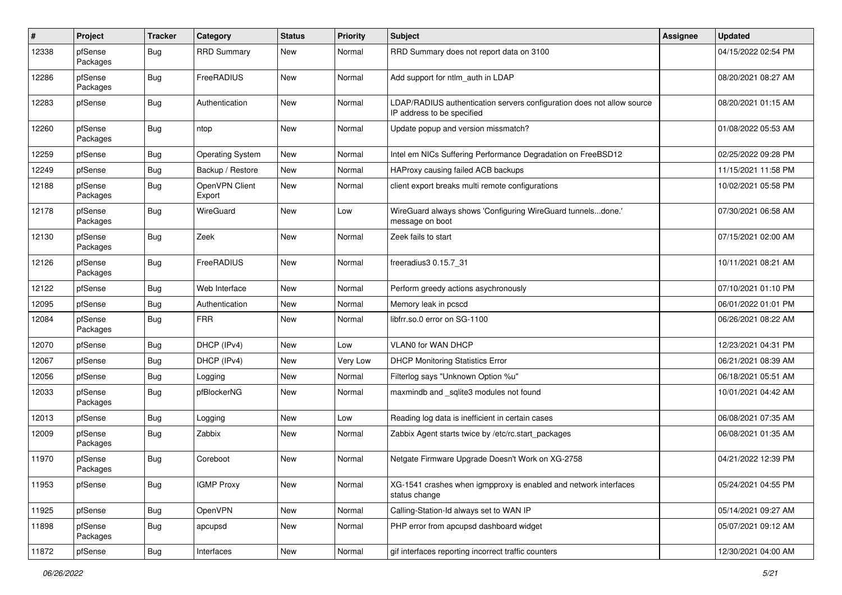| #     | Project             | <b>Tracker</b> | Category                 | <b>Status</b> | <b>Priority</b> | <b>Subject</b>                                                                                       | Assignee | <b>Updated</b>      |
|-------|---------------------|----------------|--------------------------|---------------|-----------------|------------------------------------------------------------------------------------------------------|----------|---------------------|
| 12338 | pfSense<br>Packages | Bug            | <b>RRD Summary</b>       | New           | Normal          | RRD Summary does not report data on 3100                                                             |          | 04/15/2022 02:54 PM |
| 12286 | pfSense<br>Packages | <b>Bug</b>     | FreeRADIUS               | <b>New</b>    | Normal          | Add support for ntlm auth in LDAP                                                                    |          | 08/20/2021 08:27 AM |
| 12283 | pfSense             | Bug            | Authentication           | New           | Normal          | LDAP/RADIUS authentication servers configuration does not allow source<br>IP address to be specified |          | 08/20/2021 01:15 AM |
| 12260 | pfSense<br>Packages | Bug            | ntop                     | New           | Normal          | Update popup and version missmatch?                                                                  |          | 01/08/2022 05:53 AM |
| 12259 | pfSense             | <b>Bug</b>     | <b>Operating System</b>  | New           | Normal          | Intel em NICs Suffering Performance Degradation on FreeBSD12                                         |          | 02/25/2022 09:28 PM |
| 12249 | pfSense             | <b>Bug</b>     | Backup / Restore         | <b>New</b>    | Normal          | HAProxy causing failed ACB backups                                                                   |          | 11/15/2021 11:58 PM |
| 12188 | pfSense<br>Packages | <b>Bug</b>     | OpenVPN Client<br>Export | New           | Normal          | client export breaks multi remote configurations                                                     |          | 10/02/2021 05:58 PM |
| 12178 | pfSense<br>Packages | Bug            | WireGuard                | New           | Low             | WireGuard always shows 'Configuring WireGuard tunnelsdone.'<br>message on boot                       |          | 07/30/2021 06:58 AM |
| 12130 | pfSense<br>Packages | Bug            | Zeek                     | New           | Normal          | Zeek fails to start                                                                                  |          | 07/15/2021 02:00 AM |
| 12126 | pfSense<br>Packages | Bug            | FreeRADIUS               | New           | Normal          | freeradius3 0.15.7_31                                                                                |          | 10/11/2021 08:21 AM |
| 12122 | pfSense             | <b>Bug</b>     | Web Interface            | New           | Normal          | Perform greedy actions asychronously                                                                 |          | 07/10/2021 01:10 PM |
| 12095 | pfSense             | <b>Bug</b>     | Authentication           | New           | Normal          | Memory leak in pcscd                                                                                 |          | 06/01/2022 01:01 PM |
| 12084 | pfSense<br>Packages | <b>Bug</b>     | <b>FRR</b>               | New           | Normal          | libfrr.so.0 error on SG-1100                                                                         |          | 06/26/2021 08:22 AM |
| 12070 | pfSense             | <b>Bug</b>     | DHCP (IPv4)              | New           | Low             | VLAN0 for WAN DHCP                                                                                   |          | 12/23/2021 04:31 PM |
| 12067 | pfSense             | <b>Bug</b>     | DHCP (IPv4)              | New           | Very Low        | <b>DHCP Monitoring Statistics Error</b>                                                              |          | 06/21/2021 08:39 AM |
| 12056 | pfSense             | <b>Bug</b>     | Logging                  | New           | Normal          | Filterlog says "Unknown Option %u"                                                                   |          | 06/18/2021 05:51 AM |
| 12033 | pfSense<br>Packages | <b>Bug</b>     | pfBlockerNG              | New           | Normal          | maxmindb and _sqlite3 modules not found                                                              |          | 10/01/2021 04:42 AM |
| 12013 | pfSense             | <b>Bug</b>     | Logging                  | New           | Low             | Reading log data is inefficient in certain cases                                                     |          | 06/08/2021 07:35 AM |
| 12009 | pfSense<br>Packages | <b>Bug</b>     | Zabbix                   | New           | Normal          | Zabbix Agent starts twice by /etc/rc.start packages                                                  |          | 06/08/2021 01:35 AM |
| 11970 | pfSense<br>Packages | <b>Bug</b>     | Coreboot                 | New           | Normal          | Netgate Firmware Upgrade Doesn't Work on XG-2758                                                     |          | 04/21/2022 12:39 PM |
| 11953 | pfSense             | <b>Bug</b>     | <b>IGMP Proxy</b>        | New           | Normal          | XG-1541 crashes when igmpproxy is enabled and network interfaces<br>status change                    |          | 05/24/2021 04:55 PM |
| 11925 | pfSense             | Bug            | OpenVPN                  | New           | Normal          | Calling-Station-Id always set to WAN IP                                                              |          | 05/14/2021 09:27 AM |
| 11898 | pfSense<br>Packages | <b>Bug</b>     | apcupsd                  | New           | Normal          | PHP error from apcupsd dashboard widget                                                              |          | 05/07/2021 09:12 AM |
| 11872 | pfSense             | Bug            | Interfaces               | New           | Normal          | gif interfaces reporting incorrect traffic counters                                                  |          | 12/30/2021 04:00 AM |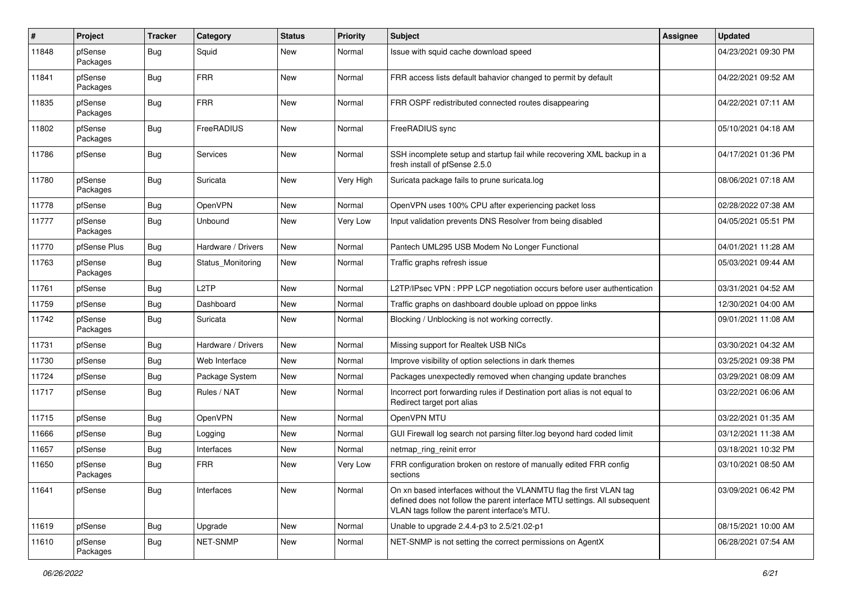| #     | Project             | <b>Tracker</b> | Category           | <b>Status</b> | <b>Priority</b> | <b>Subject</b>                                                                                                                                                                                  | <b>Assignee</b> | <b>Updated</b>      |
|-------|---------------------|----------------|--------------------|---------------|-----------------|-------------------------------------------------------------------------------------------------------------------------------------------------------------------------------------------------|-----------------|---------------------|
| 11848 | pfSense<br>Packages | Bug            | Squid              | New           | Normal          | Issue with squid cache download speed                                                                                                                                                           |                 | 04/23/2021 09:30 PM |
| 11841 | pfSense<br>Packages | <b>Bug</b>     | <b>FRR</b>         | <b>New</b>    | Normal          | FRR access lists default bahavior changed to permit by default                                                                                                                                  |                 | 04/22/2021 09:52 AM |
| 11835 | pfSense<br>Packages | Bug            | <b>FRR</b>         | <b>New</b>    | Normal          | FRR OSPF redistributed connected routes disappearing                                                                                                                                            |                 | 04/22/2021 07:11 AM |
| 11802 | pfSense<br>Packages | Bug            | FreeRADIUS         | New           | Normal          | FreeRADIUS sync                                                                                                                                                                                 |                 | 05/10/2021 04:18 AM |
| 11786 | pfSense             | Bug            | Services           | New           | Normal          | SSH incomplete setup and startup fail while recovering XML backup in a<br>fresh install of pfSense 2.5.0                                                                                        |                 | 04/17/2021 01:36 PM |
| 11780 | pfSense<br>Packages | Bug            | Suricata           | New           | Very High       | Suricata package fails to prune suricata.log                                                                                                                                                    |                 | 08/06/2021 07:18 AM |
| 11778 | pfSense             | <b>Bug</b>     | <b>OpenVPN</b>     | New           | Normal          | OpenVPN uses 100% CPU after experiencing packet loss                                                                                                                                            |                 | 02/28/2022 07:38 AM |
| 11777 | pfSense<br>Packages | <b>Bug</b>     | Unbound            | New           | Very Low        | Input validation prevents DNS Resolver from being disabled                                                                                                                                      |                 | 04/05/2021 05:51 PM |
| 11770 | pfSense Plus        | Bug            | Hardware / Drivers | <b>New</b>    | Normal          | Pantech UML295 USB Modem No Longer Functional                                                                                                                                                   |                 | 04/01/2021 11:28 AM |
| 11763 | pfSense<br>Packages | <b>Bug</b>     | Status Monitoring  | New           | Normal          | Traffic graphs refresh issue                                                                                                                                                                    |                 | 05/03/2021 09:44 AM |
| 11761 | pfSense             | <b>Bug</b>     | L <sub>2</sub> TP  | New           | Normal          | L2TP/IPsec VPN : PPP LCP negotiation occurs before user authentication                                                                                                                          |                 | 03/31/2021 04:52 AM |
| 11759 | pfSense             | <b>Bug</b>     | Dashboard          | New           | Normal          | Traffic graphs on dashboard double upload on pppoe links                                                                                                                                        |                 | 12/30/2021 04:00 AM |
| 11742 | pfSense<br>Packages | <b>Bug</b>     | Suricata           | New           | Normal          | Blocking / Unblocking is not working correctly.                                                                                                                                                 |                 | 09/01/2021 11:08 AM |
| 11731 | pfSense             | <b>Bug</b>     | Hardware / Drivers | New           | Normal          | Missing support for Realtek USB NICs                                                                                                                                                            |                 | 03/30/2021 04:32 AM |
| 11730 | pfSense             | <b>Bug</b>     | Web Interface      | <b>New</b>    | Normal          | Improve visibility of option selections in dark themes                                                                                                                                          |                 | 03/25/2021 09:38 PM |
| 11724 | pfSense             | <b>Bug</b>     | Package System     | New           | Normal          | Packages unexpectedly removed when changing update branches                                                                                                                                     |                 | 03/29/2021 08:09 AM |
| 11717 | pfSense             | Bug            | Rules / NAT        | New           | Normal          | Incorrect port forwarding rules if Destination port alias is not equal to<br>Redirect target port alias                                                                                         |                 | 03/22/2021 06:06 AM |
| 11715 | pfSense             | <b>Bug</b>     | <b>OpenVPN</b>     | New           | Normal          | OpenVPN MTU                                                                                                                                                                                     |                 | 03/22/2021 01:35 AM |
| 11666 | pfSense             | <b>Bug</b>     | Logging            | New           | Normal          | GUI Firewall log search not parsing filter.log beyond hard coded limit                                                                                                                          |                 | 03/12/2021 11:38 AM |
| 11657 | pfSense             | <b>Bug</b>     | Interfaces         | New           | Normal          | netmap_ring_reinit error                                                                                                                                                                        |                 | 03/18/2021 10:32 PM |
| 11650 | pfSense<br>Packages | <b>Bug</b>     | <b>FRR</b>         | New           | Very Low        | FRR configuration broken on restore of manually edited FRR config<br>sections                                                                                                                   |                 | 03/10/2021 08:50 AM |
| 11641 | pfSense             | Bug            | Interfaces         | New           | Normal          | On xn based interfaces without the VLANMTU flag the first VLAN tag<br>defined does not follow the parent interface MTU settings. All subsequent<br>VLAN tags follow the parent interface's MTU. |                 | 03/09/2021 06:42 PM |
| 11619 | pfSense             | Bug            | Upgrade            | New           | Normal          | Unable to upgrade 2.4.4-p3 to 2.5/21.02-p1                                                                                                                                                      |                 | 08/15/2021 10:00 AM |
| 11610 | pfSense<br>Packages | <b>Bug</b>     | NET-SNMP           | New           | Normal          | NET-SNMP is not setting the correct permissions on AgentX                                                                                                                                       |                 | 06/28/2021 07:54 AM |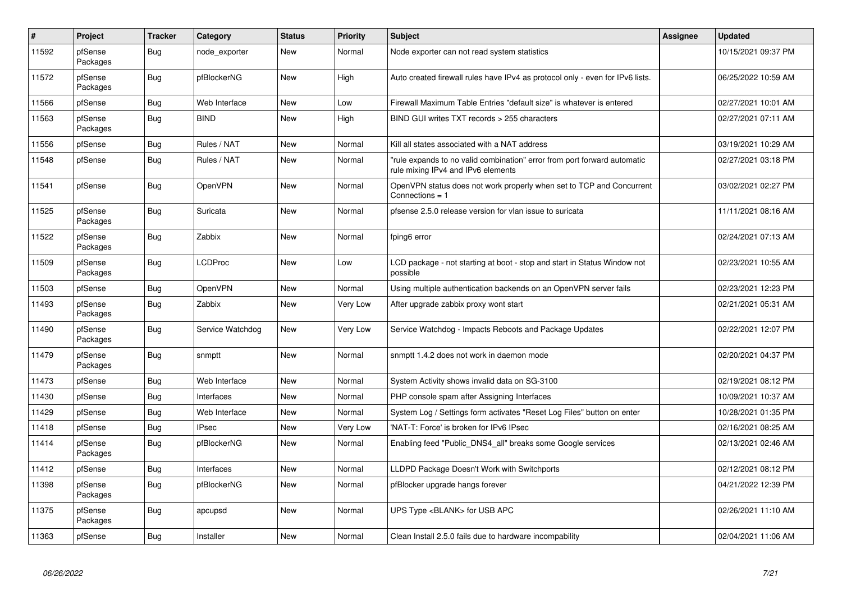| $\vert$ # | Project             | <b>Tracker</b> | Category         | <b>Status</b> | <b>Priority</b> | <b>Subject</b>                                                                                                | Assignee | <b>Updated</b>      |
|-----------|---------------------|----------------|------------------|---------------|-----------------|---------------------------------------------------------------------------------------------------------------|----------|---------------------|
| 11592     | pfSense<br>Packages | <b>Bug</b>     | node exporter    | New           | Normal          | Node exporter can not read system statistics                                                                  |          | 10/15/2021 09:37 PM |
| 11572     | pfSense<br>Packages | Bug            | pfBlockerNG      | New           | High            | Auto created firewall rules have IPv4 as protocol only - even for IPv6 lists.                                 |          | 06/25/2022 10:59 AM |
| 11566     | pfSense             | Bug            | Web Interface    | <b>New</b>    | Low             | Firewall Maximum Table Entries "default size" is whatever is entered                                          |          | 02/27/2021 10:01 AM |
| 11563     | pfSense<br>Packages | Bug            | <b>BIND</b>      | New           | High            | BIND GUI writes TXT records > 255 characters                                                                  |          | 02/27/2021 07:11 AM |
| 11556     | pfSense             | <b>Bug</b>     | Rules / NAT      | <b>New</b>    | Normal          | Kill all states associated with a NAT address                                                                 |          | 03/19/2021 10:29 AM |
| 11548     | pfSense             | Bug            | Rules / NAT      | New           | Normal          | rule expands to no valid combination" error from port forward automatic<br>rule mixing IPv4 and IPv6 elements |          | 02/27/2021 03:18 PM |
| 11541     | pfSense             | <b>Bug</b>     | OpenVPN          | <b>New</b>    | Normal          | OpenVPN status does not work properly when set to TCP and Concurrent<br>Connections $= 1$                     |          | 03/02/2021 02:27 PM |
| 11525     | pfSense<br>Packages | <b>Bug</b>     | Suricata         | New           | Normal          | pfsense 2.5.0 release version for vlan issue to suricata                                                      |          | 11/11/2021 08:16 AM |
| 11522     | pfSense<br>Packages | <b>Bug</b>     | Zabbix           | New           | Normal          | fping6 error                                                                                                  |          | 02/24/2021 07:13 AM |
| 11509     | pfSense<br>Packages | Bug            | <b>LCDProc</b>   | New           | Low             | LCD package - not starting at boot - stop and start in Status Window not<br>possible                          |          | 02/23/2021 10:55 AM |
| 11503     | pfSense             | <b>Bug</b>     | OpenVPN          | New           | Normal          | Using multiple authentication backends on an OpenVPN server fails                                             |          | 02/23/2021 12:23 PM |
| 11493     | pfSense<br>Packages | Bug            | Zabbix           | <b>New</b>    | Very Low        | After upgrade zabbix proxy wont start                                                                         |          | 02/21/2021 05:31 AM |
| 11490     | pfSense<br>Packages | Bug            | Service Watchdog | <b>New</b>    | Very Low        | Service Watchdog - Impacts Reboots and Package Updates                                                        |          | 02/22/2021 12:07 PM |
| 11479     | pfSense<br>Packages | Bug            | snmptt           | New           | Normal          | snmptt 1.4.2 does not work in daemon mode                                                                     |          | 02/20/2021 04:37 PM |
| 11473     | pfSense             | Bug            | Web Interface    | New           | Normal          | System Activity shows invalid data on SG-3100                                                                 |          | 02/19/2021 08:12 PM |
| 11430     | pfSense             | Bug            | Interfaces       | <b>New</b>    | Normal          | PHP console spam after Assigning Interfaces                                                                   |          | 10/09/2021 10:37 AM |
| 11429     | pfSense             | Bug            | Web Interface    | New           | Normal          | System Log / Settings form activates "Reset Log Files" button on enter                                        |          | 10/28/2021 01:35 PM |
| 11418     | pfSense             | <b>Bug</b>     | <b>IPsec</b>     | <b>New</b>    | Very Low        | 'NAT-T: Force' is broken for IPv6 IPsec                                                                       |          | 02/16/2021 08:25 AM |
| 11414     | pfSense<br>Packages | <b>Bug</b>     | pfBlockerNG      | New           | Normal          | Enabling feed "Public DNS4 all" breaks some Google services                                                   |          | 02/13/2021 02:46 AM |
| 11412     | pfSense             | Bug            | Interfaces       | New           | Normal          | LLDPD Package Doesn't Work with Switchports                                                                   |          | 02/12/2021 08:12 PM |
| 11398     | pfSense<br>Packages | Bug            | pfBlockerNG      | <b>New</b>    | Normal          | pfBlocker upgrade hangs forever                                                                               |          | 04/21/2022 12:39 PM |
| 11375     | pfSense<br>Packages | Bug            | apcupsd          | New           | Normal          | UPS Type <blank> for USB APC</blank>                                                                          |          | 02/26/2021 11:10 AM |
| 11363     | pfSense             | Bug            | Installer        | New           | Normal          | Clean Install 2.5.0 fails due to hardware incompability                                                       |          | 02/04/2021 11:06 AM |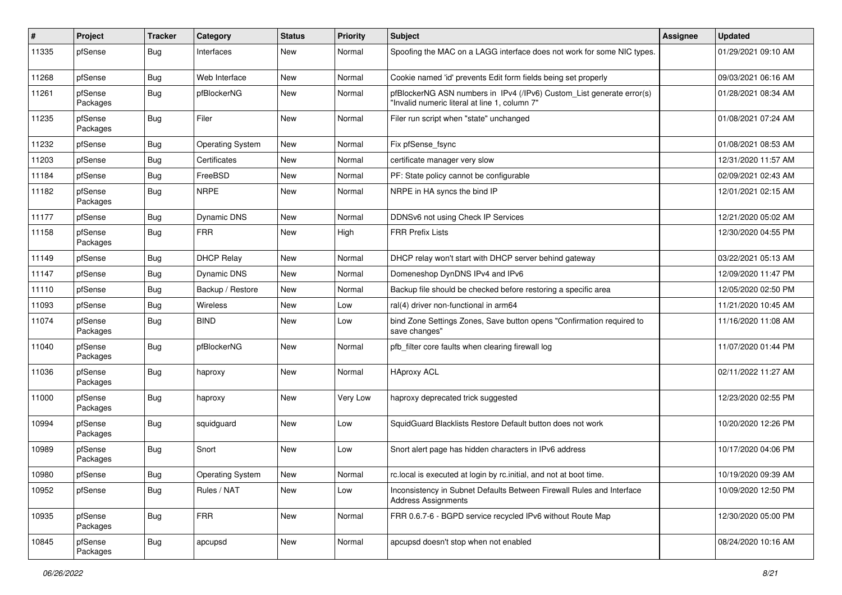| #     | Project             | <b>Tracker</b> | Category                | <b>Status</b> | <b>Priority</b> | <b>Subject</b>                                                                                                         | Assignee | <b>Updated</b>      |
|-------|---------------------|----------------|-------------------------|---------------|-----------------|------------------------------------------------------------------------------------------------------------------------|----------|---------------------|
| 11335 | pfSense             | Bug            | Interfaces              | New           | Normal          | Spoofing the MAC on a LAGG interface does not work for some NIC types.                                                 |          | 01/29/2021 09:10 AM |
| 11268 | pfSense             | Bug            | Web Interface           | New           | Normal          | Cookie named 'id' prevents Edit form fields being set properly                                                         |          | 09/03/2021 06:16 AM |
| 11261 | pfSense<br>Packages | Bug            | pfBlockerNG             | New           | Normal          | pfBlockerNG ASN numbers in IPv4 (/IPv6) Custom_List generate error(s)<br>"Invalid numeric literal at line 1, column 7" |          | 01/28/2021 08:34 AM |
| 11235 | pfSense<br>Packages | Bug            | Filer                   | <b>New</b>    | Normal          | Filer run script when "state" unchanged                                                                                |          | 01/08/2021 07:24 AM |
| 11232 | pfSense             | Bug            | <b>Operating System</b> | New           | Normal          | Fix pfSense_fsync                                                                                                      |          | 01/08/2021 08:53 AM |
| 11203 | pfSense             | Bug            | Certificates            | New           | Normal          | certificate manager very slow                                                                                          |          | 12/31/2020 11:57 AM |
| 11184 | pfSense             | Bug            | FreeBSD                 | New           | Normal          | PF: State policy cannot be configurable                                                                                |          | 02/09/2021 02:43 AM |
| 11182 | pfSense<br>Packages | Bug            | <b>NRPE</b>             | New           | Normal          | NRPE in HA syncs the bind IP                                                                                           |          | 12/01/2021 02:15 AM |
| 11177 | pfSense             | Bug            | Dynamic DNS             | <b>New</b>    | Normal          | DDNSv6 not using Check IP Services                                                                                     |          | 12/21/2020 05:02 AM |
| 11158 | pfSense<br>Packages | Bug            | <b>FRR</b>              | New           | High            | <b>FRR Prefix Lists</b>                                                                                                |          | 12/30/2020 04:55 PM |
| 11149 | pfSense             | Bug            | <b>DHCP Relay</b>       | New           | Normal          | DHCP relay won't start with DHCP server behind gateway                                                                 |          | 03/22/2021 05:13 AM |
| 11147 | pfSense             | Bug            | <b>Dynamic DNS</b>      | New           | Normal          | Domeneshop DynDNS IPv4 and IPv6                                                                                        |          | 12/09/2020 11:47 PM |
| 11110 | pfSense             | Bug            | Backup / Restore        | New           | Normal          | Backup file should be checked before restoring a specific area                                                         |          | 12/05/2020 02:50 PM |
| 11093 | pfSense             | Bug            | Wireless                | New           | Low             | ral(4) driver non-functional in arm64                                                                                  |          | 11/21/2020 10:45 AM |
| 11074 | pfSense<br>Packages | Bug            | <b>BIND</b>             | New           | Low             | bind Zone Settings Zones, Save button opens "Confirmation required to<br>save changes"                                 |          | 11/16/2020 11:08 AM |
| 11040 | pfSense<br>Packages | Bug            | pfBlockerNG             | <b>New</b>    | Normal          | pfb_filter core faults when clearing firewall log                                                                      |          | 11/07/2020 01:44 PM |
| 11036 | pfSense<br>Packages | Bug            | haproxy                 | <b>New</b>    | Normal          | <b>HAproxy ACL</b>                                                                                                     |          | 02/11/2022 11:27 AM |
| 11000 | pfSense<br>Packages | Bug            | haproxy                 | New           | Very Low        | haproxy deprecated trick suggested                                                                                     |          | 12/23/2020 02:55 PM |
| 10994 | pfSense<br>Packages | Bug            | squidguard              | New           | Low             | SquidGuard Blacklists Restore Default button does not work                                                             |          | 10/20/2020 12:26 PM |
| 10989 | pfSense<br>Packages | Bug            | Snort                   | New           | Low             | Snort alert page has hidden characters in IPv6 address                                                                 |          | 10/17/2020 04:06 PM |
| 10980 | pfSense             | Bug            | Operating System        | New           | Normal          | rc.local is executed at login by rc.initial, and not at boot time.                                                     |          | 10/19/2020 09:39 AM |
| 10952 | pfSense             | <b>Bug</b>     | Rules / NAT             | New           | Low             | Inconsistency in Subnet Defaults Between Firewall Rules and Interface<br><b>Address Assignments</b>                    |          | 10/09/2020 12:50 PM |
| 10935 | pfSense<br>Packages | <b>Bug</b>     | <b>FRR</b>              | New           | Normal          | FRR 0.6.7-6 - BGPD service recycled IPv6 without Route Map                                                             |          | 12/30/2020 05:00 PM |
| 10845 | pfSense<br>Packages | <b>Bug</b>     | apcupsd                 | New           | Normal          | apcupsd doesn't stop when not enabled                                                                                  |          | 08/24/2020 10:16 AM |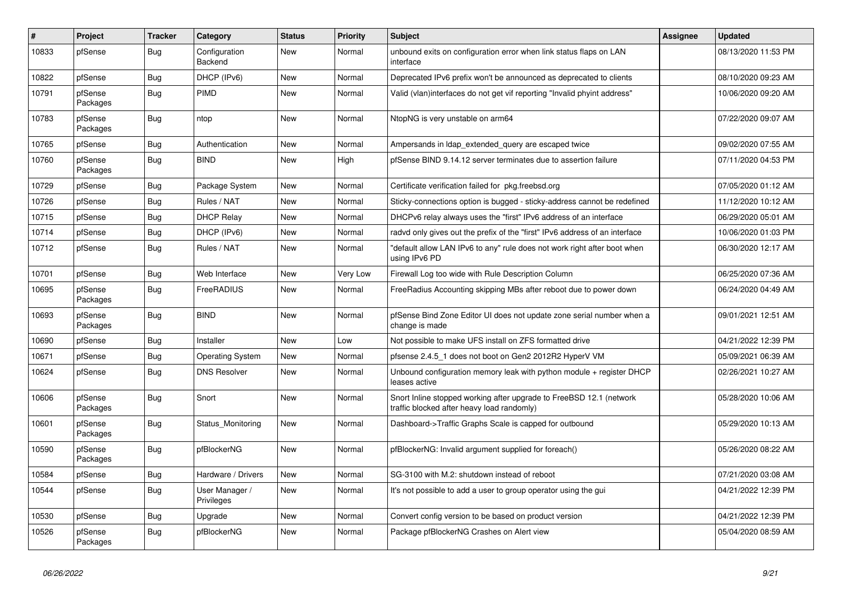| #     | Project             | <b>Tracker</b> | Category                     | <b>Status</b> | <b>Priority</b> | <b>Subject</b>                                                                                                    | <b>Assignee</b> | <b>Updated</b>      |
|-------|---------------------|----------------|------------------------------|---------------|-----------------|-------------------------------------------------------------------------------------------------------------------|-----------------|---------------------|
| 10833 | pfSense             | <b>Bug</b>     | Configuration<br>Backend     | New           | Normal          | unbound exits on configuration error when link status flaps on LAN<br>interface                                   |                 | 08/13/2020 11:53 PM |
| 10822 | pfSense             | Bug            | DHCP (IPv6)                  | <b>New</b>    | Normal          | Deprecated IPv6 prefix won't be announced as deprecated to clients                                                |                 | 08/10/2020 09:23 AM |
| 10791 | pfSense<br>Packages | <b>Bug</b>     | <b>PIMD</b>                  | <b>New</b>    | Normal          | Valid (vlan)interfaces do not get vif reporting "Invalid phyint address"                                          |                 | 10/06/2020 09:20 AM |
| 10783 | pfSense<br>Packages | Bug            | ntop                         | <b>New</b>    | Normal          | NtopNG is very unstable on arm64                                                                                  |                 | 07/22/2020 09:07 AM |
| 10765 | pfSense             | <b>Bug</b>     | Authentication               | New           | Normal          | Ampersands in Idap extended query are escaped twice                                                               |                 | 09/02/2020 07:55 AM |
| 10760 | pfSense<br>Packages | <b>Bug</b>     | <b>BIND</b>                  | New           | High            | pfSense BIND 9.14.12 server terminates due to assertion failure                                                   |                 | 07/11/2020 04:53 PM |
| 10729 | pfSense             | Bug            | Package System               | <b>New</b>    | Normal          | Certificate verification failed for pkg.freebsd.org                                                               |                 | 07/05/2020 01:12 AM |
| 10726 | pfSense             | <b>Bug</b>     | Rules / NAT                  | <b>New</b>    | Normal          | Sticky-connections option is bugged - sticky-address cannot be redefined                                          |                 | 11/12/2020 10:12 AM |
| 10715 | pfSense             | Bug            | <b>DHCP Relay</b>            | New           | Normal          | DHCPv6 relay always uses the "first" IPv6 address of an interface                                                 |                 | 06/29/2020 05:01 AM |
| 10714 | pfSense             | <b>Bug</b>     | DHCP (IPv6)                  | New           | Normal          | radvd only gives out the prefix of the "first" IPv6 address of an interface                                       |                 | 10/06/2020 01:03 PM |
| 10712 | pfSense             | <b>Bug</b>     | Rules / NAT                  | New           | Normal          | "default allow LAN IPv6 to any" rule does not work right after boot when<br>using IPv6 PD                         |                 | 06/30/2020 12:17 AM |
| 10701 | pfSense             | <b>Bug</b>     | Web Interface                | <b>New</b>    | Very Low        | Firewall Log too wide with Rule Description Column                                                                |                 | 06/25/2020 07:36 AM |
| 10695 | pfSense<br>Packages | <b>Bug</b>     | FreeRADIUS                   | <b>New</b>    | Normal          | FreeRadius Accounting skipping MBs after reboot due to power down                                                 |                 | 06/24/2020 04:49 AM |
| 10693 | pfSense<br>Packages | Bug            | <b>BIND</b>                  | New           | Normal          | pfSense Bind Zone Editor UI does not update zone serial number when a<br>change is made                           |                 | 09/01/2021 12:51 AM |
| 10690 | pfSense             | Bug            | Installer                    | <b>New</b>    | Low             | Not possible to make UFS install on ZFS formatted drive                                                           |                 | 04/21/2022 12:39 PM |
| 10671 | pfSense             | <b>Bug</b>     | <b>Operating System</b>      | New           | Normal          | pfsense 2.4.5 1 does not boot on Gen2 2012R2 HyperV VM                                                            |                 | 05/09/2021 06:39 AM |
| 10624 | pfSense             | Bug            | <b>DNS Resolver</b>          | New           | Normal          | Unbound configuration memory leak with python module + register DHCP<br>leases active                             |                 | 02/26/2021 10:27 AM |
| 10606 | pfSense<br>Packages | <b>Bug</b>     | Snort                        | New           | Normal          | Snort Inline stopped working after upgrade to FreeBSD 12.1 (network<br>traffic blocked after heavy load randomly) |                 | 05/28/2020 10:06 AM |
| 10601 | pfSense<br>Packages | <b>Bug</b>     | Status_Monitoring            | New           | Normal          | Dashboard->Traffic Graphs Scale is capped for outbound                                                            |                 | 05/29/2020 10:13 AM |
| 10590 | pfSense<br>Packages | <b>Bug</b>     | pfBlockerNG                  | <b>New</b>    | Normal          | pfBlockerNG: Invalid argument supplied for foreach()                                                              |                 | 05/26/2020 08:22 AM |
| 10584 | pfSense             | Bug            | Hardware / Drivers           | New           | Normal          | SG-3100 with M.2: shutdown instead of reboot                                                                      |                 | 07/21/2020 03:08 AM |
| 10544 | pfSense             | Bug            | User Manager /<br>Privileges | New           | Normal          | It's not possible to add a user to group operator using the gui                                                   |                 | 04/21/2022 12:39 PM |
| 10530 | pfSense             | Bug            | Upgrade                      | New           | Normal          | Convert config version to be based on product version                                                             |                 | 04/21/2022 12:39 PM |
| 10526 | pfSense<br>Packages | Bug            | pfBlockerNG                  | New           | Normal          | Package pfBlockerNG Crashes on Alert view                                                                         |                 | 05/04/2020 08:59 AM |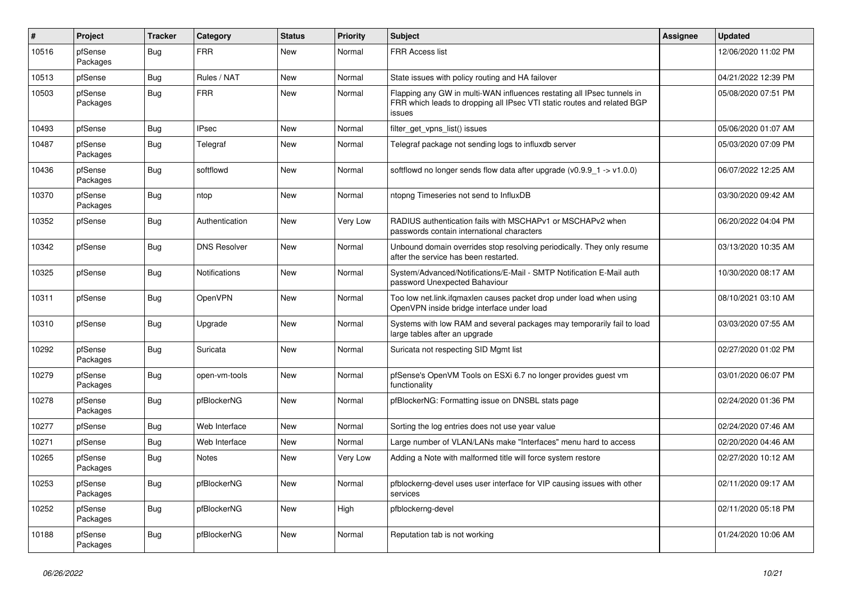| #     | Project             | <b>Tracker</b> | Category             | <b>Status</b> | <b>Priority</b> | <b>Subject</b>                                                                                                                                              | Assignee | <b>Updated</b>      |
|-------|---------------------|----------------|----------------------|---------------|-----------------|-------------------------------------------------------------------------------------------------------------------------------------------------------------|----------|---------------------|
| 10516 | pfSense<br>Packages | Bug            | <b>FRR</b>           | New           | Normal          | <b>FRR Access list</b>                                                                                                                                      |          | 12/06/2020 11:02 PM |
| 10513 | pfSense             | Bug            | Rules / NAT          | <b>New</b>    | Normal          | State issues with policy routing and HA failover                                                                                                            |          | 04/21/2022 12:39 PM |
| 10503 | pfSense<br>Packages | <b>Bug</b>     | <b>FRR</b>           | New           | Normal          | Flapping any GW in multi-WAN influences restating all IPsec tunnels in<br>FRR which leads to dropping all IPsec VTI static routes and related BGP<br>issues |          | 05/08/2020 07:51 PM |
| 10493 | pfSense             | Bug            | <b>IPsec</b>         | <b>New</b>    | Normal          | filter_get_vpns_list() issues                                                                                                                               |          | 05/06/2020 01:07 AM |
| 10487 | pfSense<br>Packages | <b>Bug</b>     | Telegraf             | New           | Normal          | Telegraf package not sending logs to influxdb server                                                                                                        |          | 05/03/2020 07:09 PM |
| 10436 | pfSense<br>Packages | <b>Bug</b>     | softflowd            | New           | Normal          | softflowd no longer sends flow data after upgrade ( $v0.9.9$ <sup>-</sup> $\rightarrow$ $v1.0.0$ )                                                          |          | 06/07/2022 12:25 AM |
| 10370 | pfSense<br>Packages | <b>Bug</b>     | ntop                 | New           | Normal          | ntopng Timeseries not send to InfluxDB                                                                                                                      |          | 03/30/2020 09:42 AM |
| 10352 | pfSense             | Bug            | Authentication       | New           | Very Low        | RADIUS authentication fails with MSCHAPv1 or MSCHAPv2 when<br>passwords contain international characters                                                    |          | 06/20/2022 04:04 PM |
| 10342 | pfSense             | <b>Bug</b>     | <b>DNS Resolver</b>  | New           | Normal          | Unbound domain overrides stop resolving periodically. They only resume<br>after the service has been restarted.                                             |          | 03/13/2020 10:35 AM |
| 10325 | pfSense             | Bug            | <b>Notifications</b> | New           | Normal          | System/Advanced/Notifications/E-Mail - SMTP Notification E-Mail auth<br>password Unexpected Bahaviour                                                       |          | 10/30/2020 08:17 AM |
| 10311 | pfSense             | Bug            | OpenVPN              | New           | Normal          | Too low net.link.ifqmaxlen causes packet drop under load when using<br>OpenVPN inside bridge interface under load                                           |          | 08/10/2021 03:10 AM |
| 10310 | pfSense             | <b>Bug</b>     | Upgrade              | New           | Normal          | Systems with low RAM and several packages may temporarily fail to load<br>large tables after an upgrade                                                     |          | 03/03/2020 07:55 AM |
| 10292 | pfSense<br>Packages | <b>Bug</b>     | Suricata             | New           | Normal          | Suricata not respecting SID Mgmt list                                                                                                                       |          | 02/27/2020 01:02 PM |
| 10279 | pfSense<br>Packages | <b>Bug</b>     | open-vm-tools        | New           | Normal          | pfSense's OpenVM Tools on ESXi 6.7 no longer provides guest vm<br>functionality                                                                             |          | 03/01/2020 06:07 PM |
| 10278 | pfSense<br>Packages | <b>Bug</b>     | pfBlockerNG          | New           | Normal          | pfBlockerNG: Formatting issue on DNSBL stats page                                                                                                           |          | 02/24/2020 01:36 PM |
| 10277 | pfSense             | <b>Bug</b>     | Web Interface        | New           | Normal          | Sorting the log entries does not use year value                                                                                                             |          | 02/24/2020 07:46 AM |
| 10271 | pfSense             | <b>Bug</b>     | Web Interface        | New           | Normal          | Large number of VLAN/LANs make "Interfaces" menu hard to access                                                                                             |          | 02/20/2020 04:46 AM |
| 10265 | pfSense<br>Packages | <b>Bug</b>     | Notes                | New           | Very Low        | Adding a Note with malformed title will force system restore                                                                                                |          | 02/27/2020 10:12 AM |
| 10253 | pfSense<br>Packages | <b>Bug</b>     | pfBlockerNG          | New           | Normal          | pfblockerng-devel uses user interface for VIP causing issues with other<br>services                                                                         |          | 02/11/2020 09:17 AM |
| 10252 | pfSense<br>Packages | <b>Bug</b>     | pfBlockerNG          | New           | High            | pfblockerng-devel                                                                                                                                           |          | 02/11/2020 05:18 PM |
| 10188 | pfSense<br>Packages | <b>Bug</b>     | pfBlockerNG          | New           | Normal          | Reputation tab is not working                                                                                                                               |          | 01/24/2020 10:06 AM |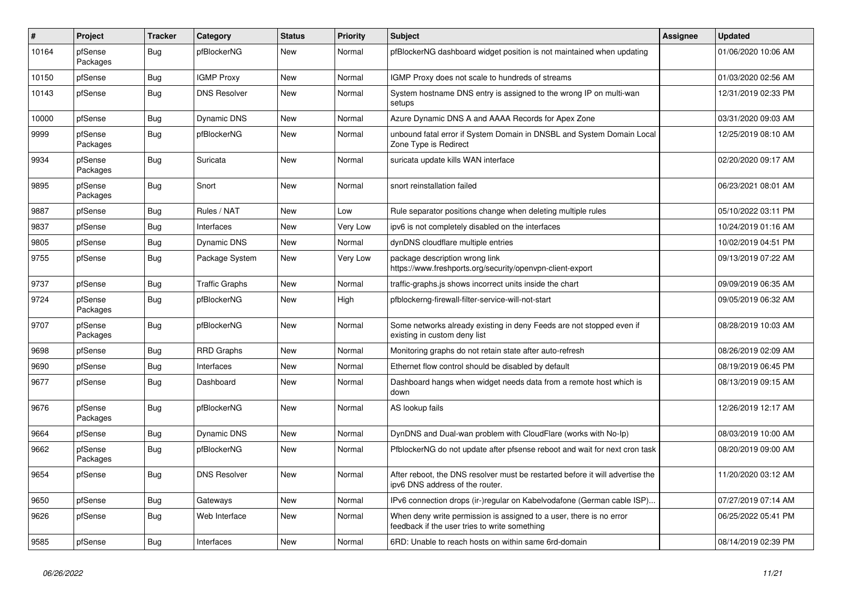| $\vert$ # | Project             | <b>Tracker</b> | Category              | <b>Status</b> | <b>Priority</b> | <b>Subject</b>                                                                                                       | Assignee | <b>Updated</b>      |
|-----------|---------------------|----------------|-----------------------|---------------|-----------------|----------------------------------------------------------------------------------------------------------------------|----------|---------------------|
| 10164     | pfSense<br>Packages | <b>Bug</b>     | pfBlockerNG           | New           | Normal          | pfBlockerNG dashboard widget position is not maintained when updating                                                |          | 01/06/2020 10:06 AM |
| 10150     | pfSense             | Bug            | <b>IGMP Proxy</b>     | New           | Normal          | IGMP Proxy does not scale to hundreds of streams                                                                     |          | 01/03/2020 02:56 AM |
| 10143     | pfSense             | Bug            | <b>DNS Resolver</b>   | New           | Normal          | System hostname DNS entry is assigned to the wrong IP on multi-wan<br>setups                                         |          | 12/31/2019 02:33 PM |
| 10000     | pfSense             | <b>Bug</b>     | <b>Dynamic DNS</b>    | New           | Normal          | Azure Dynamic DNS A and AAAA Records for Apex Zone                                                                   |          | 03/31/2020 09:03 AM |
| 9999      | pfSense<br>Packages | <b>Bug</b>     | pfBlockerNG           | <b>New</b>    | Normal          | unbound fatal error if System Domain in DNSBL and System Domain Local<br>Zone Type is Redirect                       |          | 12/25/2019 08:10 AM |
| 9934      | pfSense<br>Packages | Bug            | Suricata              | New           | Normal          | suricata update kills WAN interface                                                                                  |          | 02/20/2020 09:17 AM |
| 9895      | pfSense<br>Packages | Bug            | Snort                 | <b>New</b>    | Normal          | snort reinstallation failed                                                                                          |          | 06/23/2021 08:01 AM |
| 9887      | pfSense             | Bug            | Rules / NAT           | New           | Low             | Rule separator positions change when deleting multiple rules                                                         |          | 05/10/2022 03:11 PM |
| 9837      | pfSense             | <b>Bug</b>     | Interfaces            | New           | Very Low        | ipv6 is not completely disabled on the interfaces                                                                    |          | 10/24/2019 01:16 AM |
| 9805      | pfSense             | Bug            | <b>Dynamic DNS</b>    | <b>New</b>    | Normal          | dynDNS cloudflare multiple entries                                                                                   |          | 10/02/2019 04:51 PM |
| 9755      | pfSense             | <b>Bug</b>     | Package System        | New           | Very Low        | package description wrong link<br>https://www.freshports.org/security/openvpn-client-export                          |          | 09/13/2019 07:22 AM |
| 9737      | pfSense             | Bug            | <b>Traffic Graphs</b> | New           | Normal          | traffic-graphs is shows incorrect units inside the chart                                                             |          | 09/09/2019 06:35 AM |
| 9724      | pfSense<br>Packages | <b>Bug</b>     | pfBlockerNG           | New           | High            | pfblockerng-firewall-filter-service-will-not-start                                                                   |          | 09/05/2019 06:32 AM |
| 9707      | pfSense<br>Packages | <b>Bug</b>     | pfBlockerNG           | New           | Normal          | Some networks already existing in deny Feeds are not stopped even if<br>existing in custom deny list                 |          | 08/28/2019 10:03 AM |
| 9698      | pfSense             | <b>Bug</b>     | <b>RRD Graphs</b>     | <b>New</b>    | Normal          | Monitoring graphs do not retain state after auto-refresh                                                             |          | 08/26/2019 02:09 AM |
| 9690      | pfSense             | <b>Bug</b>     | Interfaces            | <b>New</b>    | Normal          | Ethernet flow control should be disabled by default                                                                  |          | 08/19/2019 06:45 PM |
| 9677      | pfSense             | <b>Bug</b>     | Dashboard             | <b>New</b>    | Normal          | Dashboard hangs when widget needs data from a remote host which is<br>down                                           |          | 08/13/2019 09:15 AM |
| 9676      | pfSense<br>Packages | <b>Bug</b>     | pfBlockerNG           | New           | Normal          | AS lookup fails                                                                                                      |          | 12/26/2019 12:17 AM |
| 9664      | pfSense             | <b>Bug</b>     | <b>Dynamic DNS</b>    | New           | Normal          | DynDNS and Dual-wan problem with CloudFlare (works with No-Ip)                                                       |          | 08/03/2019 10:00 AM |
| 9662      | pfSense<br>Packages | <b>Bug</b>     | pfBlockerNG           | New           | Normal          | PfblockerNG do not update after pfsense reboot and wait for next cron task                                           |          | 08/20/2019 09:00 AM |
| 9654      | pfSense             | Bug            | <b>DNS Resolver</b>   | New           | Normal          | After reboot, the DNS resolver must be restarted before it will advertise the<br>ipv6 DNS address of the router.     |          | 11/20/2020 03:12 AM |
| 9650      | pfSense             | Bug            | Gateways              | New           | Normal          | IPv6 connection drops (ir-)regular on Kabelvodafone (German cable ISP)                                               |          | 07/27/2019 07:14 AM |
| 9626      | pfSense             | <b>Bug</b>     | Web Interface         | New           | Normal          | When deny write permission is assigned to a user, there is no error<br>feedback if the user tries to write something |          | 06/25/2022 05:41 PM |
| 9585      | pfSense             | Bug            | Interfaces            | New           | Normal          | 6RD: Unable to reach hosts on within same 6rd-domain                                                                 |          | 08/14/2019 02:39 PM |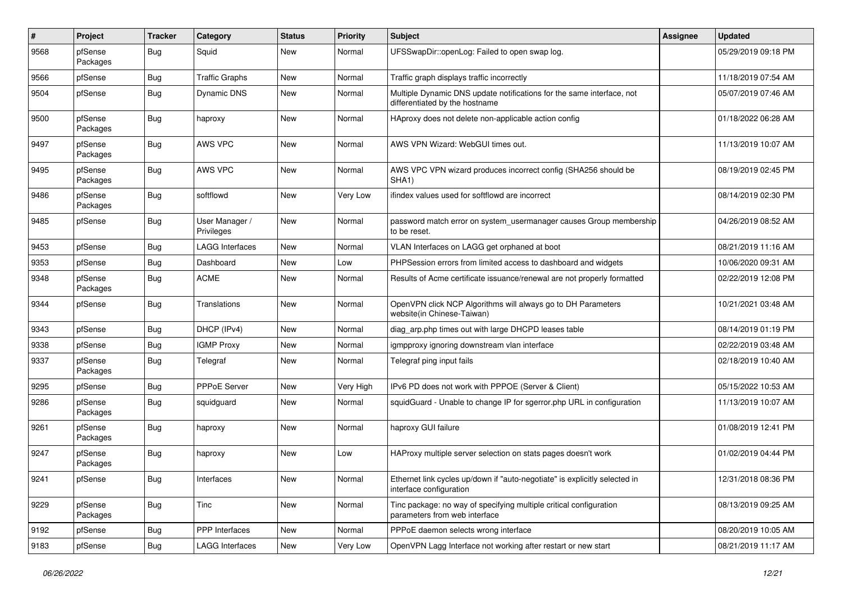| #    | Project             | <b>Tracker</b> | Category                     | <b>Status</b> | <b>Priority</b> | Subject                                                                                                 | <b>Assignee</b> | <b>Updated</b>      |
|------|---------------------|----------------|------------------------------|---------------|-----------------|---------------------------------------------------------------------------------------------------------|-----------------|---------------------|
| 9568 | pfSense<br>Packages | Bug            | Squid                        | New           | Normal          | UFSSwapDir::openLog: Failed to open swap log.                                                           |                 | 05/29/2019 09:18 PM |
| 9566 | pfSense             | <b>Bug</b>     | <b>Traffic Graphs</b>        | New           | Normal          | Traffic graph displays traffic incorrectly                                                              |                 | 11/18/2019 07:54 AM |
| 9504 | pfSense             | Bug            | Dynamic DNS                  | New           | Normal          | Multiple Dynamic DNS update notifications for the same interface, not<br>differentiated by the hostname |                 | 05/07/2019 07:46 AM |
| 9500 | pfSense<br>Packages | <b>Bug</b>     | haproxy                      | New           | Normal          | HAproxy does not delete non-applicable action config                                                    |                 | 01/18/2022 06:28 AM |
| 9497 | pfSense<br>Packages | <b>Bug</b>     | AWS VPC                      | New           | Normal          | AWS VPN Wizard: WebGUI times out.                                                                       |                 | 11/13/2019 10:07 AM |
| 9495 | pfSense<br>Packages | <b>Bug</b>     | AWS VPC                      | New           | Normal          | AWS VPC VPN wizard produces incorrect config (SHA256 should be<br>SHA1)                                 |                 | 08/19/2019 02:45 PM |
| 9486 | pfSense<br>Packages | <b>Bug</b>     | softflowd                    | New           | Very Low        | ifindex values used for softflowd are incorrect                                                         |                 | 08/14/2019 02:30 PM |
| 9485 | pfSense             | Bug            | User Manager /<br>Privileges | New           | Normal          | password match error on system_usermanager causes Group membership<br>to be reset.                      |                 | 04/26/2019 08:52 AM |
| 9453 | pfSense             | <b>Bug</b>     | <b>LAGG Interfaces</b>       | New           | Normal          | VLAN Interfaces on LAGG get orphaned at boot                                                            |                 | 08/21/2019 11:16 AM |
| 9353 | pfSense             | <b>Bug</b>     | Dashboard                    | New           | Low             | PHPSession errors from limited access to dashboard and widgets                                          |                 | 10/06/2020 09:31 AM |
| 9348 | pfSense<br>Packages | <b>Bug</b>     | <b>ACME</b>                  | New           | Normal          | Results of Acme certificate issuance/renewal are not properly formatted                                 |                 | 02/22/2019 12:08 PM |
| 9344 | pfSense             | Bug            | Translations                 | New           | Normal          | OpenVPN click NCP Algorithms will always go to DH Parameters<br>website(in Chinese-Taiwan)              |                 | 10/21/2021 03:48 AM |
| 9343 | pfSense             | <b>Bug</b>     | DHCP (IPv4)                  | New           | Normal          | diag_arp.php times out with large DHCPD leases table                                                    |                 | 08/14/2019 01:19 PM |
| 9338 | pfSense             | <b>Bug</b>     | <b>IGMP Proxy</b>            | New           | Normal          | igmpproxy ignoring downstream vlan interface                                                            |                 | 02/22/2019 03:48 AM |
| 9337 | pfSense<br>Packages | <b>Bug</b>     | Telegraf                     | New           | Normal          | Telegraf ping input fails                                                                               |                 | 02/18/2019 10:40 AM |
| 9295 | pfSense             | <b>Bug</b>     | PPPoE Server                 | New           | Very High       | IPv6 PD does not work with PPPOE (Server & Client)                                                      |                 | 05/15/2022 10:53 AM |
| 9286 | pfSense<br>Packages | <b>Bug</b>     | squidguard                   | New           | Normal          | squidGuard - Unable to change IP for sgerror.php URL in configuration                                   |                 | 11/13/2019 10:07 AM |
| 9261 | pfSense<br>Packages | <b>Bug</b>     | haproxy                      | New           | Normal          | haproxy GUI failure                                                                                     |                 | 01/08/2019 12:41 PM |
| 9247 | pfSense<br>Packages | Bug            | haproxy                      | New           | Low             | HAProxy multiple server selection on stats pages doesn't work                                           |                 | 01/02/2019 04:44 PM |
| 9241 | pfSense             | Bug            | Interfaces                   | New           | Normal          | Ethernet link cycles up/down if "auto-negotiate" is explicitly selected in<br>interface configuration   |                 | 12/31/2018 08:36 PM |
| 9229 | pfSense<br>Packages | <b>Bug</b>     | Tinc                         | New           | Normal          | Tinc package: no way of specifying multiple critical configuration<br>parameters from web interface     |                 | 08/13/2019 09:25 AM |
| 9192 | pfSense             | <b>Bug</b>     | PPP Interfaces               | New           | Normal          | PPPoE daemon selects wrong interface                                                                    |                 | 08/20/2019 10:05 AM |
| 9183 | pfSense             | <b>Bug</b>     | <b>LAGG Interfaces</b>       | New           | Very Low        | OpenVPN Lagg Interface not working after restart or new start                                           |                 | 08/21/2019 11:17 AM |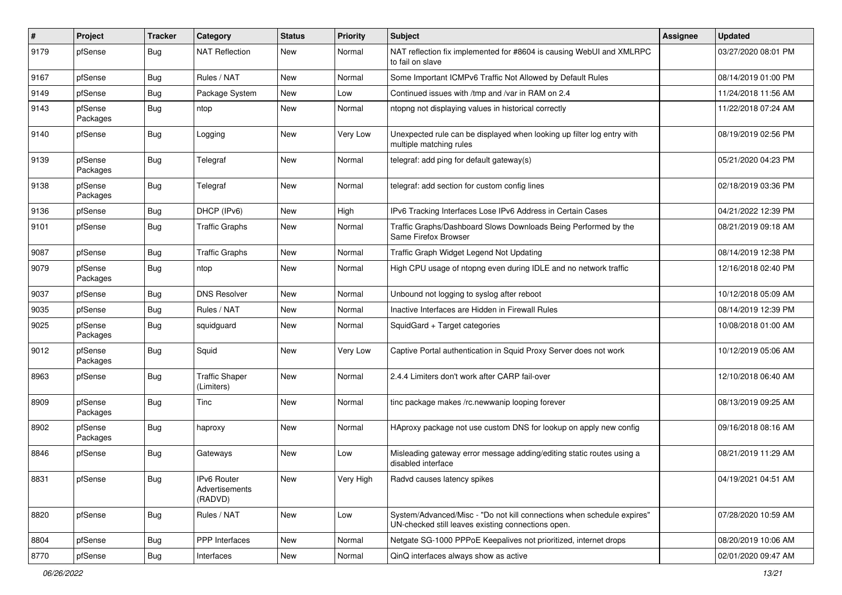| #    | Project             | <b>Tracker</b> | Category                                 | <b>Status</b> | <b>Priority</b> | Subject                                                                                                                      | <b>Assignee</b> | <b>Updated</b>      |
|------|---------------------|----------------|------------------------------------------|---------------|-----------------|------------------------------------------------------------------------------------------------------------------------------|-----------------|---------------------|
| 9179 | pfSense             | Bug            | <b>NAT Reflection</b>                    | New           | Normal          | NAT reflection fix implemented for #8604 is causing WebUI and XMLRPC<br>to fail on slave                                     |                 | 03/27/2020 08:01 PM |
| 9167 | pfSense             | Bug            | Rules / NAT                              | New           | Normal          | Some Important ICMPv6 Traffic Not Allowed by Default Rules                                                                   |                 | 08/14/2019 01:00 PM |
| 9149 | pfSense             | <b>Bug</b>     | Package System                           | New           | Low             | Continued issues with /tmp and /var in RAM on 2.4                                                                            |                 | 11/24/2018 11:56 AM |
| 9143 | pfSense<br>Packages | <b>Bug</b>     | ntop                                     | New           | Normal          | ntopng not displaying values in historical correctly                                                                         |                 | 11/22/2018 07:24 AM |
| 9140 | pfSense             | Bug            | Logging                                  | New           | Very Low        | Unexpected rule can be displayed when looking up filter log entry with<br>multiple matching rules                            |                 | 08/19/2019 02:56 PM |
| 9139 | pfSense<br>Packages | Bug            | Telegraf                                 | New           | Normal          | telegraf: add ping for default gateway(s)                                                                                    |                 | 05/21/2020 04:23 PM |
| 9138 | pfSense<br>Packages | <b>Bug</b>     | Telegraf                                 | New           | Normal          | telegraf: add section for custom config lines                                                                                |                 | 02/18/2019 03:36 PM |
| 9136 | pfSense             | <b>Bug</b>     | DHCP (IPv6)                              | <b>New</b>    | High            | IPv6 Tracking Interfaces Lose IPv6 Address in Certain Cases                                                                  |                 | 04/21/2022 12:39 PM |
| 9101 | pfSense             | <b>Bug</b>     | <b>Traffic Graphs</b>                    | New           | Normal          | Traffic Graphs/Dashboard Slows Downloads Being Performed by the<br>Same Firefox Browser                                      |                 | 08/21/2019 09:18 AM |
| 9087 | pfSense             | <b>Bug</b>     | <b>Traffic Graphs</b>                    | New           | Normal          | Traffic Graph Widget Legend Not Updating                                                                                     |                 | 08/14/2019 12:38 PM |
| 9079 | pfSense<br>Packages | Bug            | ntop                                     | New           | Normal          | High CPU usage of ntopng even during IDLE and no network traffic                                                             |                 | 12/16/2018 02:40 PM |
| 9037 | pfSense             | <b>Bug</b>     | <b>DNS Resolver</b>                      | <b>New</b>    | Normal          | Unbound not logging to syslog after reboot                                                                                   |                 | 10/12/2018 05:09 AM |
| 9035 | pfSense             | Bug            | Rules / NAT                              | New           | Normal          | Inactive Interfaces are Hidden in Firewall Rules                                                                             |                 | 08/14/2019 12:39 PM |
| 9025 | pfSense<br>Packages | Bug            | squidguard                               | New           | Normal          | SquidGard + Target categories                                                                                                |                 | 10/08/2018 01:00 AM |
| 9012 | pfSense<br>Packages | <b>Bug</b>     | Squid                                    | New           | Very Low        | Captive Portal authentication in Squid Proxy Server does not work                                                            |                 | 10/12/2019 05:06 AM |
| 8963 | pfSense             | Bug            | <b>Traffic Shaper</b><br>(Limiters)      | <b>New</b>    | Normal          | 2.4.4 Limiters don't work after CARP fail-over                                                                               |                 | 12/10/2018 06:40 AM |
| 8909 | pfSense<br>Packages | <b>Bug</b>     | Tinc                                     | New           | Normal          | tinc package makes /rc.newwanip looping forever                                                                              |                 | 08/13/2019 09:25 AM |
| 8902 | pfSense<br>Packages | Bug            | haproxy                                  | New           | Normal          | HAproxy package not use custom DNS for lookup on apply new config                                                            |                 | 09/16/2018 08:16 AM |
| 8846 | pfSense             | Bug            | Gateways                                 | New           | Low             | Misleading gateway error message adding/editing static routes using a<br>disabled interface                                  |                 | 08/21/2019 11:29 AM |
| 8831 | pfSense             | <b>Bug</b>     | IPv6 Router<br>Advertisements<br>(RADVD) | New           | Very High       | Radvd causes latency spikes                                                                                                  |                 | 04/19/2021 04:51 AM |
| 8820 | pfSense             | Bug            | Rules / NAT                              | New           | Low             | System/Advanced/Misc - "Do not kill connections when schedule expires"<br>UN-checked still leaves existing connections open. |                 | 07/28/2020 10:59 AM |
| 8804 | pfSense             | <b>Bug</b>     | PPP Interfaces                           | New           | Normal          | Netgate SG-1000 PPPoE Keepalives not prioritized, internet drops                                                             |                 | 08/20/2019 10:06 AM |
| 8770 | pfSense             | <b>Bug</b>     | Interfaces                               | New           | Normal          | QinQ interfaces always show as active                                                                                        |                 | 02/01/2020 09:47 AM |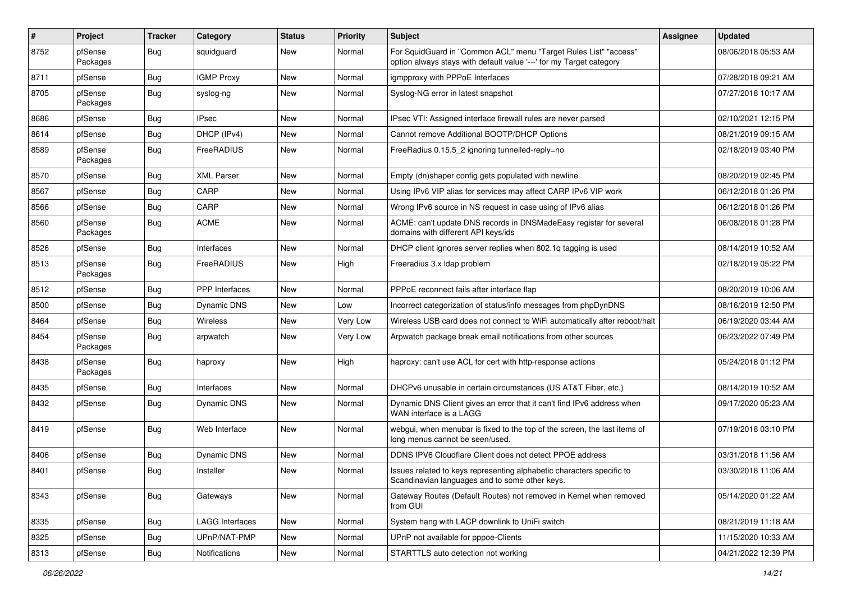| #    | Project             | <b>Tracker</b> | Category              | <b>Status</b> | <b>Priority</b> | <b>Subject</b>                                                                                                                          | <b>Assignee</b> | <b>Updated</b>      |
|------|---------------------|----------------|-----------------------|---------------|-----------------|-----------------------------------------------------------------------------------------------------------------------------------------|-----------------|---------------------|
| 8752 | pfSense<br>Packages | Bug            | squidguard            | New           | Normal          | For SquidGuard in "Common ACL" menu "Target Rules List" "access"<br>option always stays with default value '---' for my Target category |                 | 08/06/2018 05:53 AM |
| 8711 | pfSense             | Bug            | <b>IGMP Proxy</b>     | New           | Normal          | igmpproxy with PPPoE Interfaces                                                                                                         |                 | 07/28/2018 09:21 AM |
| 8705 | pfSense<br>Packages | Bug            | syslog-ng             | New           | Normal          | Syslog-NG error in latest snapshot                                                                                                      |                 | 07/27/2018 10:17 AM |
| 8686 | pfSense             | Bug            | <b>IPsec</b>          | New           | Normal          | IPsec VTI: Assigned interface firewall rules are never parsed                                                                           |                 | 02/10/2021 12:15 PM |
| 8614 | pfSense             | <b>Bug</b>     | DHCP (IPv4)           | New           | Normal          | Cannot remove Additional BOOTP/DHCP Options                                                                                             |                 | 08/21/2019 09:15 AM |
| 8589 | pfSense<br>Packages | Bug            | FreeRADIUS            | New           | Normal          | FreeRadius 0.15.5_2 ignoring tunnelled-reply=no                                                                                         |                 | 02/18/2019 03:40 PM |
| 8570 | pfSense             | Bug            | <b>XML Parser</b>     | <b>New</b>    | Normal          | Empty (dn)shaper config gets populated with newline                                                                                     |                 | 08/20/2019 02:45 PM |
| 8567 | pfSense             | Bug            | CARP                  | New           | Normal          | Using IPv6 VIP alias for services may affect CARP IPv6 VIP work                                                                         |                 | 06/12/2018 01:26 PM |
| 8566 | pfSense             | <b>Bug</b>     | CARP                  | New           | Normal          | Wrong IPv6 source in NS request in case using of IPv6 alias                                                                             |                 | 06/12/2018 01:26 PM |
| 8560 | pfSense<br>Packages | Bug            | <b>ACME</b>           | <b>New</b>    | Normal          | ACME: can't update DNS records in DNSMadeEasy registar for several<br>domains with different API keys/ids                               |                 | 06/08/2018 01:28 PM |
| 8526 | pfSense             | Bug            | Interfaces            | New           | Normal          | DHCP client ignores server replies when 802.1q tagging is used                                                                          |                 | 08/14/2019 10:52 AM |
| 8513 | pfSense<br>Packages | Bug            | FreeRADIUS            | New           | High            | Freeradius 3.x Idap problem                                                                                                             |                 | 02/18/2019 05:22 PM |
| 8512 | pfSense             | Bug            | <b>PPP</b> Interfaces | New           | Normal          | PPPoE reconnect fails after interface flap                                                                                              |                 | 08/20/2019 10:06 AM |
| 8500 | pfSense             | <b>Bug</b>     | <b>Dynamic DNS</b>    | New           | Low             | Incorrect categorization of status/info messages from phpDynDNS                                                                         |                 | 08/16/2019 12:50 PM |
| 8464 | pfSense             | Bug            | Wireless              | New           | Very Low        | Wireless USB card does not connect to WiFi automatically after reboot/halt                                                              |                 | 06/19/2020 03:44 AM |
| 8454 | pfSense<br>Packages | Bug            | arpwatch              | New           | Very Low        | Arpwatch package break email notifications from other sources                                                                           |                 | 06/23/2022 07:49 PM |
| 8438 | pfSense<br>Packages | Bug            | haproxy               | New           | High            | haproxy: can't use ACL for cert with http-response actions                                                                              |                 | 05/24/2018 01:12 PM |
| 8435 | pfSense             | Bug            | Interfaces            | New           | Normal          | DHCPv6 unusable in certain circumstances (US AT&T Fiber, etc.)                                                                          |                 | 08/14/2019 10:52 AM |
| 8432 | pfSense             | Bug            | <b>Dynamic DNS</b>    | New           | Normal          | Dynamic DNS Client gives an error that it can't find IPv6 address when<br>WAN interface is a LAGG                                       |                 | 09/17/2020 05:23 AM |
| 8419 | pfSense             | Bug            | Web Interface         | <b>New</b>    | Normal          | webgui, when menubar is fixed to the top of the screen, the last items of<br>long menus cannot be seen/used.                            |                 | 07/19/2018 03:10 PM |
| 8406 | pfSense             | Bug            | Dynamic DNS           | New           | Normal          | DDNS IPV6 Cloudflare Client does not detect PPOE address                                                                                |                 | 03/31/2018 11:56 AM |
| 8401 | pfSense             | <b>Bug</b>     | Installer             | New           | Normal          | lssues related to keys representing alphabetic characters specific to<br>Scandinavian languages and to some other keys.                 |                 | 03/30/2018 11:06 AM |
| 8343 | pfSense             | <b>Bug</b>     | Gateways              | New           | Normal          | Gateway Routes (Default Routes) not removed in Kernel when removed<br>from GUI                                                          |                 | 05/14/2020 01:22 AM |
| 8335 | pfSense             | Bug            | LAGG Interfaces       | <b>New</b>    | Normal          | System hang with LACP downlink to UniFi switch                                                                                          |                 | 08/21/2019 11:18 AM |
| 8325 | pfSense             | <b>Bug</b>     | UPnP/NAT-PMP          | New           | Normal          | UPnP not available for pppoe-Clients                                                                                                    |                 | 11/15/2020 10:33 AM |
| 8313 | pfSense             | <b>Bug</b>     | Notifications         | New           | Normal          | STARTTLS auto detection not working                                                                                                     |                 | 04/21/2022 12:39 PM |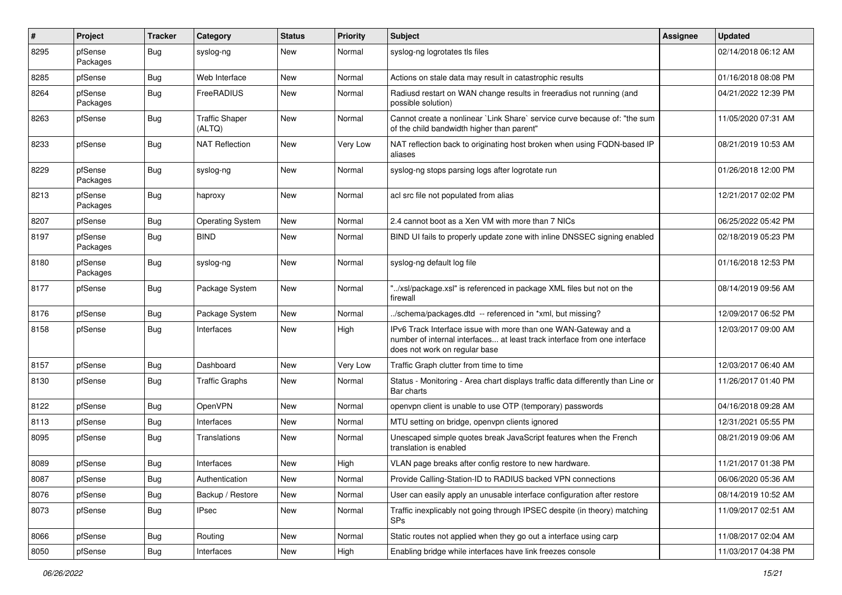| #    | Project             | <b>Tracker</b> | Category                        | <b>Status</b> | <b>Priority</b> | Subject                                                                                                                                                                       | <b>Assignee</b> | <b>Updated</b>      |
|------|---------------------|----------------|---------------------------------|---------------|-----------------|-------------------------------------------------------------------------------------------------------------------------------------------------------------------------------|-----------------|---------------------|
| 8295 | pfSense<br>Packages | Bug            | syslog-ng                       | New           | Normal          | syslog-ng logrotates tls files                                                                                                                                                |                 | 02/14/2018 06:12 AM |
| 8285 | pfSense             | Bug            | Web Interface                   | New           | Normal          | Actions on stale data may result in catastrophic results                                                                                                                      |                 | 01/16/2018 08:08 PM |
| 8264 | pfSense<br>Packages | Bug            | FreeRADIUS                      | New           | Normal          | Radiusd restart on WAN change results in freeradius not running (and<br>possible solution)                                                                                    |                 | 04/21/2022 12:39 PM |
| 8263 | pfSense             | Bug            | <b>Traffic Shaper</b><br>(ALTQ) | New           | Normal          | Cannot create a nonlinear `Link Share` service curve because of: "the sum<br>of the child bandwidth higher than parent"                                                       |                 | 11/05/2020 07:31 AM |
| 8233 | pfSense             | Bug            | <b>NAT Reflection</b>           | New           | Very Low        | NAT reflection back to originating host broken when using FQDN-based IP<br>aliases                                                                                            |                 | 08/21/2019 10:53 AM |
| 8229 | pfSense<br>Packages | Bug            | syslog-ng                       | New           | Normal          | syslog-ng stops parsing logs after logrotate run                                                                                                                              |                 | 01/26/2018 12:00 PM |
| 8213 | pfSense<br>Packages | Bug            | haproxy                         | New           | Normal          | acl src file not populated from alias                                                                                                                                         |                 | 12/21/2017 02:02 PM |
| 8207 | pfSense             | Bug            | <b>Operating System</b>         | New           | Normal          | 2.4 cannot boot as a Xen VM with more than 7 NICs                                                                                                                             |                 | 06/25/2022 05:42 PM |
| 8197 | pfSense<br>Packages | Bug            | <b>BIND</b>                     | New           | Normal          | BIND UI fails to properly update zone with inline DNSSEC signing enabled                                                                                                      |                 | 02/18/2019 05:23 PM |
| 8180 | pfSense<br>Packages | Bug            | syslog-ng                       | New           | Normal          | syslog-ng default log file                                                                                                                                                    |                 | 01/16/2018 12:53 PM |
| 8177 | pfSense             | Bug            | Package System                  | New           | Normal          | "/xsl/package.xsl" is referenced in package XML files but not on the<br>firewall                                                                                              |                 | 08/14/2019 09:56 AM |
| 8176 | pfSense             | Bug            | Package System                  | <b>New</b>    | Normal          | ./schema/packages.dtd -- referenced in *xml, but missing?                                                                                                                     |                 | 12/09/2017 06:52 PM |
| 8158 | pfSense             | Bug            | Interfaces                      | New           | High            | IPv6 Track Interface issue with more than one WAN-Gateway and a<br>number of internal interfaces at least track interface from one interface<br>does not work on regular base |                 | 12/03/2017 09:00 AM |
| 8157 | pfSense             | Bug            | Dashboard                       | New           | Very Low        | Traffic Graph clutter from time to time                                                                                                                                       |                 | 12/03/2017 06:40 AM |
| 8130 | pfSense             | Bug            | <b>Traffic Graphs</b>           | New           | Normal          | Status - Monitoring - Area chart displays traffic data differently than Line or<br>Bar charts                                                                                 |                 | 11/26/2017 01:40 PM |
| 8122 | pfSense             | Bug            | <b>OpenVPN</b>                  | New           | Normal          | openvpn client is unable to use OTP (temporary) passwords                                                                                                                     |                 | 04/16/2018 09:28 AM |
| 8113 | pfSense             | Bug            | Interfaces                      | New           | Normal          | MTU setting on bridge, openvpn clients ignored                                                                                                                                |                 | 12/31/2021 05:55 PM |
| 8095 | pfSense             | Bug            | Translations                    | New           | Normal          | Unescaped simple quotes break JavaScript features when the French<br>translation is enabled                                                                                   |                 | 08/21/2019 09:06 AM |
| 8089 | pfSense             | Bug            | Interfaces                      | <b>New</b>    | High            | VLAN page breaks after config restore to new hardware.                                                                                                                        |                 | 11/21/2017 01:38 PM |
| 8087 | pfSense             | Bug            | Authentication                  | New           | Normal          | Provide Calling-Station-ID to RADIUS backed VPN connections                                                                                                                   |                 | 06/06/2020 05:36 AM |
| 8076 | pfSense             | <b>Bug</b>     | Backup / Restore                | New           | Normal          | User can easily apply an unusable interface configuration after restore                                                                                                       |                 | 08/14/2019 10:52 AM |
| 8073 | pfSense             | Bug            | <b>IPsec</b>                    | New           | Normal          | Traffic inexplicably not going through IPSEC despite (in theory) matching<br><b>SPs</b>                                                                                       |                 | 11/09/2017 02:51 AM |
| 8066 | pfSense             | Bug            | Routing                         | New           | Normal          | Static routes not applied when they go out a interface using carp                                                                                                             |                 | 11/08/2017 02:04 AM |
| 8050 | pfSense             | <b>Bug</b>     | Interfaces                      | New           | High            | Enabling bridge while interfaces have link freezes console                                                                                                                    |                 | 11/03/2017 04:38 PM |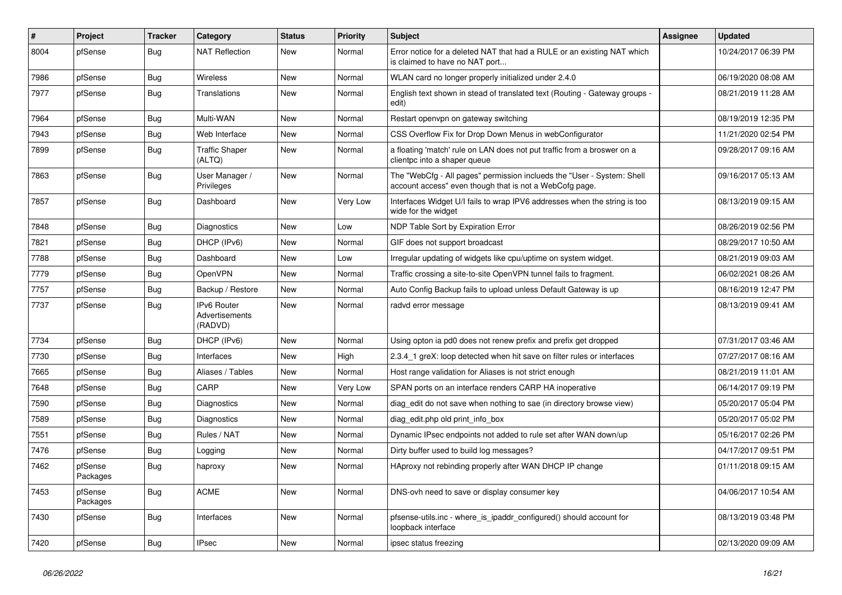| $\vert$ # | Project             | <b>Tracker</b> | Category                                        | <b>Status</b> | <b>Priority</b> | <b>Subject</b>                                                                                                                    | Assignee | <b>Updated</b>      |
|-----------|---------------------|----------------|-------------------------------------------------|---------------|-----------------|-----------------------------------------------------------------------------------------------------------------------------------|----------|---------------------|
| 8004      | pfSense             | Bug            | <b>NAT Reflection</b>                           | New           | Normal          | Error notice for a deleted NAT that had a RULE or an existing NAT which<br>is claimed to have no NAT port                         |          | 10/24/2017 06:39 PM |
| 7986      | pfSense             | Bug            | Wireless                                        | New           | Normal          | WLAN card no longer properly initialized under 2.4.0                                                                              |          | 06/19/2020 08:08 AM |
| 7977      | pfSense             | Bug            | Translations                                    | New           | Normal          | English text shown in stead of translated text (Routing - Gateway groups -<br>edit)                                               |          | 08/21/2019 11:28 AM |
| 7964      | pfSense             | Bug            | Multi-WAN                                       | New           | Normal          | Restart openvpn on gateway switching                                                                                              |          | 08/19/2019 12:35 PM |
| 7943      | pfSense             | <b>Bug</b>     | Web Interface                                   | New           | Normal          | CSS Overflow Fix for Drop Down Menus in webConfigurator                                                                           |          | 11/21/2020 02:54 PM |
| 7899      | pfSense             | <b>Bug</b>     | <b>Traffic Shaper</b><br>(ALTQ)                 | New           | Normal          | a floating 'match' rule on LAN does not put traffic from a broswer on a<br>clientpc into a shaper queue                           |          | 09/28/2017 09:16 AM |
| 7863      | pfSense             | <b>Bug</b>     | User Manager /<br>Privileges                    | New           | Normal          | The "WebCfg - All pages" permission inclueds the "User - System: Shell<br>account access" even though that is not a WebCofg page. |          | 09/16/2017 05:13 AM |
| 7857      | pfSense             | <b>Bug</b>     | Dashboard                                       | New           | Very Low        | Interfaces Widget U/I fails to wrap IPV6 addresses when the string is too<br>wide for the widget                                  |          | 08/13/2019 09:15 AM |
| 7848      | pfSense             | Bug            | Diagnostics                                     | New           | Low             | NDP Table Sort by Expiration Error                                                                                                |          | 08/26/2019 02:56 PM |
| 7821      | pfSense             | Bug            | DHCP (IPv6)                                     | New           | Normal          | GIF does not support broadcast                                                                                                    |          | 08/29/2017 10:50 AM |
| 7788      | pfSense             | <b>Bug</b>     | Dashboard                                       | New           | Low             | Irregular updating of widgets like cpu/uptime on system widget.                                                                   |          | 08/21/2019 09:03 AM |
| 7779      | pfSense             | Bug            | OpenVPN                                         | New           | Normal          | Traffic crossing a site-to-site OpenVPN tunnel fails to fragment.                                                                 |          | 06/02/2021 08:26 AM |
| 7757      | pfSense             | <b>Bug</b>     | Backup / Restore                                | New           | Normal          | Auto Config Backup fails to upload unless Default Gateway is up                                                                   |          | 08/16/2019 12:47 PM |
| 7737      | pfSense             | <b>Bug</b>     | IPv6 Router<br><b>Advertisements</b><br>(RADVD) | New           | Normal          | radvd error message                                                                                                               |          | 08/13/2019 09:41 AM |
| 7734      | pfSense             | Bug            | DHCP (IPv6)                                     | New           | Normal          | Using opton ia pd0 does not renew prefix and prefix get dropped                                                                   |          | 07/31/2017 03:46 AM |
| 7730      | pfSense             | Bug            | Interfaces                                      | New           | High            | 2.3.4_1 greX: loop detected when hit save on filter rules or interfaces                                                           |          | 07/27/2017 08:16 AM |
| 7665      | pfSense             | <b>Bug</b>     | Aliases / Tables                                | New           | Normal          | Host range validation for Aliases is not strict enough                                                                            |          | 08/21/2019 11:01 AM |
| 7648      | pfSense             | Bug            | CARP                                            | New           | Very Low        | SPAN ports on an interface renders CARP HA inoperative                                                                            |          | 06/14/2017 09:19 PM |
| 7590      | pfSense             | <b>Bug</b>     | <b>Diagnostics</b>                              | New           | Normal          | diag edit do not save when nothing to sae (in directory browse view)                                                              |          | 05/20/2017 05:04 PM |
| 7589      | pfSense             | Bug            | <b>Diagnostics</b>                              | New           | Normal          | diag edit.php old print info box                                                                                                  |          | 05/20/2017 05:02 PM |
| 7551      | pfSense             | Bug            | Rules / NAT                                     | New           | Normal          | Dynamic IPsec endpoints not added to rule set after WAN down/up                                                                   |          | 05/16/2017 02:26 PM |
| 7476      | pfSense             | Bug            | Logging                                         | New           | Normal          | Dirty buffer used to build log messages?                                                                                          |          | 04/17/2017 09:51 PM |
| 7462      | pfSense<br>Packages | Bug            | haproxy                                         | New           | Normal          | HAproxy not rebinding properly after WAN DHCP IP change                                                                           |          | 01/11/2018 09:15 AM |
| 7453      | pfSense<br>Packages | <b>Bug</b>     | <b>ACME</b>                                     | New           | Normal          | DNS-ovh need to save or display consumer key                                                                                      |          | 04/06/2017 10:54 AM |
| 7430      | pfSense             | Bug            | Interfaces                                      | New           | Normal          | pfsense-utils.inc - where_is_ipaddr_configured() should account for<br>loopback interface                                         |          | 08/13/2019 03:48 PM |
| 7420      | pfSense             | <b>Bug</b>     | <b>IPsec</b>                                    | New           | Normal          | ipsec status freezing                                                                                                             |          | 02/13/2020 09:09 AM |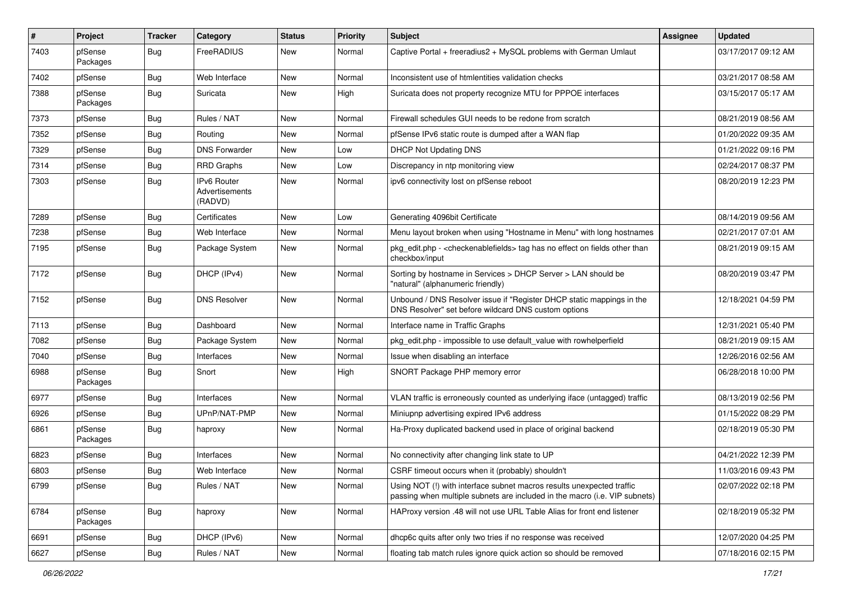| #    | Project             | <b>Tracker</b> | Category                                 | <b>Status</b> | <b>Priority</b> | Subject                                                                                                                                             | <b>Assignee</b> | <b>Updated</b>      |
|------|---------------------|----------------|------------------------------------------|---------------|-----------------|-----------------------------------------------------------------------------------------------------------------------------------------------------|-----------------|---------------------|
| 7403 | pfSense<br>Packages | Bug            | FreeRADIUS                               | New           | Normal          | Captive Portal + freeradius2 + MySQL problems with German Umlaut                                                                                    |                 | 03/17/2017 09:12 AM |
| 7402 | pfSense             | Bug            | Web Interface                            | New           | Normal          | Inconsistent use of htmlentities validation checks                                                                                                  |                 | 03/21/2017 08:58 AM |
| 7388 | pfSense<br>Packages | Bug            | Suricata                                 | New           | High            | Suricata does not property recognize MTU for PPPOE interfaces                                                                                       |                 | 03/15/2017 05:17 AM |
| 7373 | pfSense             | Bug            | Rules / NAT                              | New           | Normal          | Firewall schedules GUI needs to be redone from scratch                                                                                              |                 | 08/21/2019 08:56 AM |
| 7352 | pfSense             | Bug            | Routing                                  | New           | Normal          | pfSense IPv6 static route is dumped after a WAN flap                                                                                                |                 | 01/20/2022 09:35 AM |
| 7329 | pfSense             | Bug            | <b>DNS Forwarder</b>                     | New           | Low             | <b>DHCP Not Updating DNS</b>                                                                                                                        |                 | 01/21/2022 09:16 PM |
| 7314 | pfSense             | Bug            | <b>RRD Graphs</b>                        | New           | Low             | Discrepancy in ntp monitoring view                                                                                                                  |                 | 02/24/2017 08:37 PM |
| 7303 | pfSense             | <b>Bug</b>     | IPv6 Router<br>Advertisements<br>(RADVD) | New           | Normal          | ipv6 connectivity lost on pfSense reboot                                                                                                            |                 | 08/20/2019 12:23 PM |
| 7289 | pfSense             | Bug            | Certificates                             | New           | Low             | Generating 4096bit Certificate                                                                                                                      |                 | 08/14/2019 09:56 AM |
| 7238 | pfSense             | Bug            | Web Interface                            | New           | Normal          | Menu layout broken when using "Hostname in Menu" with long hostnames                                                                                |                 | 02/21/2017 07:01 AM |
| 7195 | pfSense             | Bug            | Package System                           | New           | Normal          | pkg_edit.php - < checkenablefields > tag has no effect on fields other than<br>checkbox/input                                                       |                 | 08/21/2019 09:15 AM |
| 7172 | pfSense             | Bug            | DHCP (IPv4)                              | New           | Normal          | Sorting by hostname in Services > DHCP Server > LAN should be<br>"natural" (alphanumeric friendly)                                                  |                 | 08/20/2019 03:47 PM |
| 7152 | pfSense             | Bug            | <b>DNS Resolver</b>                      | New           | Normal          | Unbound / DNS Resolver issue if "Register DHCP static mappings in the<br>DNS Resolver" set before wildcard DNS custom options                       |                 | 12/18/2021 04:59 PM |
| 7113 | pfSense             | Bug            | Dashboard                                | New           | Normal          | Interface name in Traffic Graphs                                                                                                                    |                 | 12/31/2021 05:40 PM |
| 7082 | pfSense             | Bug            | Package System                           | New           | Normal          | pkg edit.php - impossible to use default value with rowhelperfield                                                                                  |                 | 08/21/2019 09:15 AM |
| 7040 | pfSense             | Bug            | Interfaces                               | New           | Normal          | Issue when disabling an interface                                                                                                                   |                 | 12/26/2016 02:56 AM |
| 6988 | pfSense<br>Packages | Bug            | Snort                                    | New           | High            | SNORT Package PHP memory error                                                                                                                      |                 | 06/28/2018 10:00 PM |
| 6977 | pfSense             | Bug            | Interfaces                               | <b>New</b>    | Normal          | VLAN traffic is erroneously counted as underlying iface (untagged) traffic                                                                          |                 | 08/13/2019 02:56 PM |
| 6926 | pfSense             | Bug            | UPnP/NAT-PMP                             | New           | Normal          | Miniupnp advertising expired IPv6 address                                                                                                           |                 | 01/15/2022 08:29 PM |
| 6861 | pfSense<br>Packages | Bug            | haproxy                                  | New           | Normal          | Ha-Proxy duplicated backend used in place of original backend                                                                                       |                 | 02/18/2019 05:30 PM |
| 6823 | pfSense             | Bug            | Interfaces                               | New           | Normal          | No connectivity after changing link state to UP                                                                                                     |                 | 04/21/2022 12:39 PM |
| 6803 | pfSense             | <b>Bug</b>     | Web Interface                            | New           | Normal          | CSRF timeout occurs when it (probably) shouldn't                                                                                                    |                 | 11/03/2016 09:43 PM |
| 6799 | pfSense             | Bug            | Rules / NAT                              | New           | Normal          | Using NOT (!) with interface subnet macros results unexpected traffic<br>passing when multiple subnets are included in the macro (i.e. VIP subnets) |                 | 02/07/2022 02:18 PM |
| 6784 | pfSense<br>Packages | Bug            | haproxy                                  | New           | Normal          | HAProxy version .48 will not use URL Table Alias for front end listener                                                                             |                 | 02/18/2019 05:32 PM |
| 6691 | pfSense             | Bug            | DHCP (IPv6)                              | New           | Normal          | dhcp6c quits after only two tries if no response was received                                                                                       |                 | 12/07/2020 04:25 PM |
| 6627 | pfSense             | Bug            | Rules / NAT                              | New           | Normal          | floating tab match rules ignore quick action so should be removed                                                                                   |                 | 07/18/2016 02:15 PM |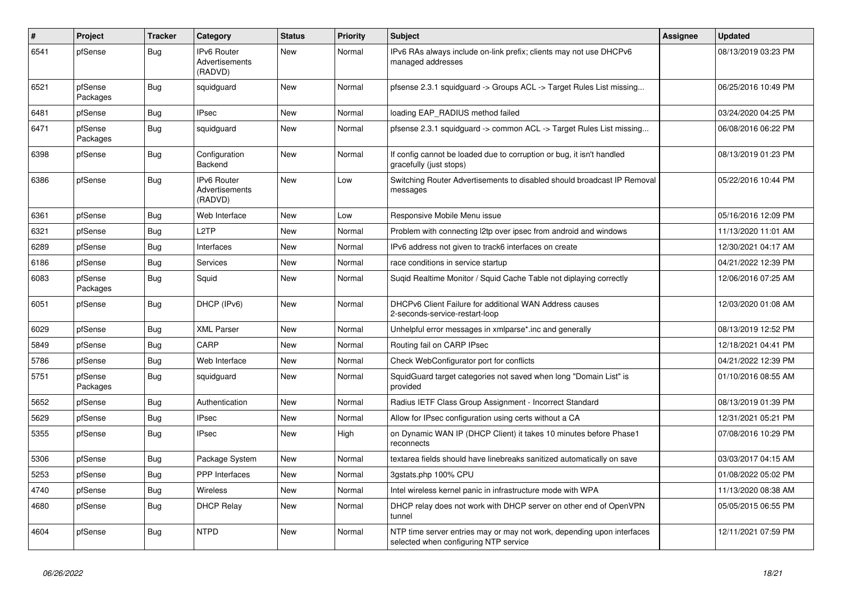| $\pmb{\#}$ | Project             | <b>Tracker</b> | Category                                        | <b>Status</b> | <b>Priority</b> | <b>Subject</b>                                                                                                  | <b>Assignee</b> | <b>Updated</b>      |
|------------|---------------------|----------------|-------------------------------------------------|---------------|-----------------|-----------------------------------------------------------------------------------------------------------------|-----------------|---------------------|
| 6541       | pfSense             | <b>Bug</b>     | <b>IPv6 Router</b><br>Advertisements<br>(RADVD) | <b>New</b>    | Normal          | IPv6 RAs always include on-link prefix; clients may not use DHCPv6<br>managed addresses                         |                 | 08/13/2019 03:23 PM |
| 6521       | pfSense<br>Packages | <b>Bug</b>     | squidguard                                      | New           | Normal          | pfsense 2.3.1 squidguard -> Groups ACL -> Target Rules List missing                                             |                 | 06/25/2016 10:49 PM |
| 6481       | pfSense             | Bug            | <b>IPsec</b>                                    | <b>New</b>    | Normal          | loading EAP RADIUS method failed                                                                                |                 | 03/24/2020 04:25 PM |
| 6471       | pfSense<br>Packages | Bug            | squidguard                                      | <b>New</b>    | Normal          | pfsense 2.3.1 squidguard -> common ACL -> Target Rules List missing                                             |                 | 06/08/2016 06:22 PM |
| 6398       | pfSense             | <b>Bug</b>     | Configuration<br><b>Backend</b>                 | New           | Normal          | If config cannot be loaded due to corruption or bug, it isn't handled<br>gracefully (just stops)                |                 | 08/13/2019 01:23 PM |
| 6386       | pfSense             | Bug            | IPv6 Router<br>Advertisements<br>(RADVD)        | New           | Low             | Switching Router Advertisements to disabled should broadcast IP Removal<br>messages                             |                 | 05/22/2016 10:44 PM |
| 6361       | pfSense             | <b>Bug</b>     | Web Interface                                   | <b>New</b>    | Low             | Responsive Mobile Menu issue                                                                                    |                 | 05/16/2016 12:09 PM |
| 6321       | pfSense             | <b>Bug</b>     | L <sub>2</sub> TP                               | <b>New</b>    | Normal          | Problem with connecting I2tp over ipsec from android and windows                                                |                 | 11/13/2020 11:01 AM |
| 6289       | pfSense             | Bug            | Interfaces                                      | New           | Normal          | IPv6 address not given to track6 interfaces on create                                                           |                 | 12/30/2021 04:17 AM |
| 6186       | pfSense             | Bug            | <b>Services</b>                                 | New           | Normal          | race conditions in service startup                                                                              |                 | 04/21/2022 12:39 PM |
| 6083       | pfSense<br>Packages | <b>Bug</b>     | Squid                                           | New           | Normal          | Sugid Realtime Monitor / Squid Cache Table not diplaying correctly                                              |                 | 12/06/2016 07:25 AM |
| 6051       | pfSense             | <b>Bug</b>     | DHCP (IPv6)                                     | New           | Normal          | DHCPv6 Client Failure for additional WAN Address causes<br>2-seconds-service-restart-loop                       |                 | 12/03/2020 01:08 AM |
| 6029       | pfSense             | Bug            | <b>XML Parser</b>                               | New           | Normal          | Unhelpful error messages in xmlparse*.inc and generally                                                         |                 | 08/13/2019 12:52 PM |
| 5849       | pfSense             | <b>Bug</b>     | CARP                                            | New           | Normal          | Routing fail on CARP IPsec                                                                                      |                 | 12/18/2021 04:41 PM |
| 5786       | pfSense             | <b>Bug</b>     | Web Interface                                   | New           | Normal          | Check WebConfigurator port for conflicts                                                                        |                 | 04/21/2022 12:39 PM |
| 5751       | pfSense<br>Packages | <b>Bug</b>     | squidguard                                      | New           | Normal          | SquidGuard target categories not saved when long "Domain List" is<br>provided                                   |                 | 01/10/2016 08:55 AM |
| 5652       | pfSense             | Bug            | Authentication                                  | <b>New</b>    | Normal          | Radius IETF Class Group Assignment - Incorrect Standard                                                         |                 | 08/13/2019 01:39 PM |
| 5629       | pfSense             | <b>Bug</b>     | <b>IPsec</b>                                    | New           | Normal          | Allow for IPsec configuration using certs without a CA                                                          |                 | 12/31/2021 05:21 PM |
| 5355       | pfSense             | <b>Bug</b>     | <b>IPsec</b>                                    | New           | High            | on Dynamic WAN IP (DHCP Client) it takes 10 minutes before Phase1<br>reconnects                                 |                 | 07/08/2016 10:29 PM |
| 5306       | pfSense             | Bug            | Package System                                  | New           | Normal          | textarea fields should have linebreaks sanitized automatically on save                                          |                 | 03/03/2017 04:15 AM |
| 5253       | pfSense             | Bug            | <b>PPP</b> Interfaces                           | New           | Normal          | 3gstats.php 100% CPU                                                                                            |                 | 01/08/2022 05:02 PM |
| 4740       | pfSense             | <b>Bug</b>     | Wireless                                        | New           | Normal          | Intel wireless kernel panic in infrastructure mode with WPA                                                     |                 | 11/13/2020 08:38 AM |
| 4680       | pfSense             | <b>Bug</b>     | <b>DHCP Relay</b>                               | New           | Normal          | DHCP relay does not work with DHCP server on other end of OpenVPN<br>tunnel                                     |                 | 05/05/2015 06:55 PM |
| 4604       | pfSense             | <b>Bug</b>     | <b>NTPD</b>                                     | New           | Normal          | NTP time server entries may or may not work, depending upon interfaces<br>selected when configuring NTP service |                 | 12/11/2021 07:59 PM |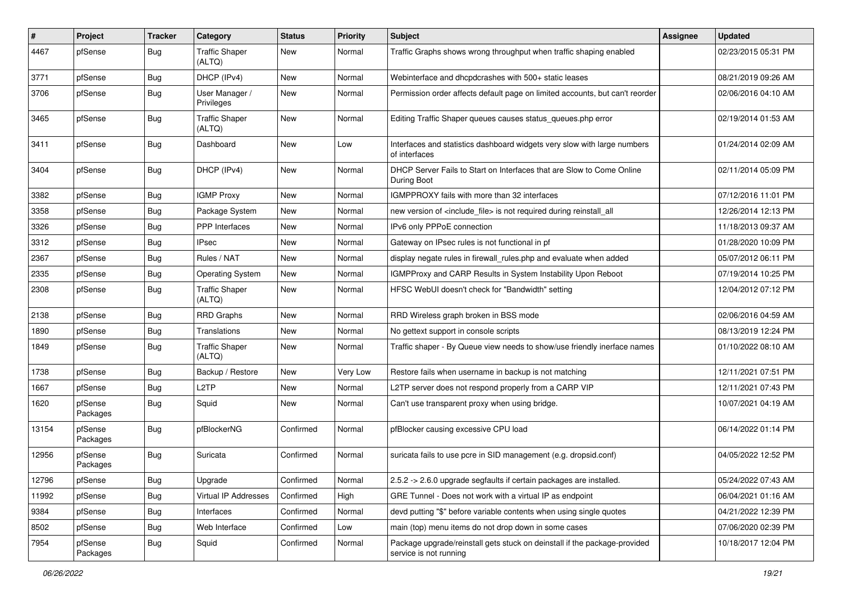| $\vert$ # | Project             | <b>Tracker</b> | Category                        | <b>Status</b> | <b>Priority</b> | Subject                                                                                             | <b>Assignee</b> | <b>Updated</b>      |
|-----------|---------------------|----------------|---------------------------------|---------------|-----------------|-----------------------------------------------------------------------------------------------------|-----------------|---------------------|
| 4467      | pfSense             | Bug            | <b>Traffic Shaper</b><br>(ALTQ) | New           | Normal          | Traffic Graphs shows wrong throughput when traffic shaping enabled                                  |                 | 02/23/2015 05:31 PM |
| 3771      | pfSense             | Bug            | DHCP (IPv4)                     | New           | Normal          | Webinterface and dhcpdcrashes with 500+ static leases                                               |                 | 08/21/2019 09:26 AM |
| 3706      | pfSense             | <b>Bug</b>     | User Manager /<br>Privileges    | New           | Normal          | Permission order affects default page on limited accounts, but can't reorder                        |                 | 02/06/2016 04:10 AM |
| 3465      | pfSense             | Bug            | <b>Traffic Shaper</b><br>(ALTQ) | New           | Normal          | Editing Traffic Shaper queues causes status_queues.php error                                        |                 | 02/19/2014 01:53 AM |
| 3411      | pfSense             | <b>Bug</b>     | Dashboard                       | New           | Low             | Interfaces and statistics dashboard widgets very slow with large numbers<br>of interfaces           |                 | 01/24/2014 02:09 AM |
| 3404      | pfSense             | Bug            | DHCP (IPv4)                     | New           | Normal          | DHCP Server Fails to Start on Interfaces that are Slow to Come Online<br>During Boot                |                 | 02/11/2014 05:09 PM |
| 3382      | pfSense             | Bug            | <b>IGMP Proxy</b>               | New           | Normal          | IGMPPROXY fails with more than 32 interfaces                                                        |                 | 07/12/2016 11:01 PM |
| 3358      | pfSense             | Bug            | Package System                  | New           | Normal          | new version of <include_file> is not required during reinstall_all</include_file>                   |                 | 12/26/2014 12:13 PM |
| 3326      | pfSense             | Bug            | <b>PPP</b> Interfaces           | New           | Normal          | IPv6 only PPPoE connection                                                                          |                 | 11/18/2013 09:37 AM |
| 3312      | pfSense             | Bug            | <b>IPsec</b>                    | New           | Normal          | Gateway on IPsec rules is not functional in pf                                                      |                 | 01/28/2020 10:09 PM |
| 2367      | pfSense             | Bug            | Rules / NAT                     | New           | Normal          | display negate rules in firewall_rules.php and evaluate when added                                  |                 | 05/07/2012 06:11 PM |
| 2335      | pfSense             | <b>Bug</b>     | <b>Operating System</b>         | New           | Normal          | IGMPProxy and CARP Results in System Instability Upon Reboot                                        |                 | 07/19/2014 10:25 PM |
| 2308      | pfSense             | <b>Bug</b>     | <b>Traffic Shaper</b><br>(ALTQ) | New           | Normal          | HFSC WebUI doesn't check for "Bandwidth" setting                                                    |                 | 12/04/2012 07:12 PM |
| 2138      | pfSense             | Bug            | <b>RRD Graphs</b>               | New           | Normal          | RRD Wireless graph broken in BSS mode                                                               |                 | 02/06/2016 04:59 AM |
| 1890      | pfSense             | Bug            | <b>Translations</b>             | New           | Normal          | No gettext support in console scripts                                                               |                 | 08/13/2019 12:24 PM |
| 1849      | pfSense             | Bug            | <b>Traffic Shaper</b><br>(ALTQ) | New           | Normal          | Traffic shaper - By Queue view needs to show/use friendly inerface names                            |                 | 01/10/2022 08:10 AM |
| 1738      | pfSense             | Bug            | Backup / Restore                | New           | Very Low        | Restore fails when username in backup is not matching                                               |                 | 12/11/2021 07:51 PM |
| 1667      | pfSense             | Bug            | L <sub>2</sub> TP               | New           | Normal          | L2TP server does not respond properly from a CARP VIP                                               |                 | 12/11/2021 07:43 PM |
| 1620      | pfSense<br>Packages | Bug            | Squid                           | New           | Normal          | Can't use transparent proxy when using bridge.                                                      |                 | 10/07/2021 04:19 AM |
| 13154     | pfSense<br>Packages | <b>Bug</b>     | pfBlockerNG                     | Confirmed     | Normal          | pfBlocker causing excessive CPU load                                                                |                 | 06/14/2022 01:14 PM |
| 12956     | pfSense<br>Packages | <b>Bug</b>     | Suricata                        | Confirmed     | Normal          | suricata fails to use pcre in SID management (e.g. dropsid.conf)                                    |                 | 04/05/2022 12:52 PM |
| 12796     | pfSense             | Bug            | Upgrade                         | Confirmed     | Normal          | 2.5.2 -> 2.6.0 upgrade segfaults if certain packages are installed.                                 |                 | 05/24/2022 07:43 AM |
| 11992     | pfSense             | <b>Bug</b>     | Virtual IP Addresses            | Confirmed     | High            | GRE Tunnel - Does not work with a virtual IP as endpoint                                            |                 | 06/04/2021 01:16 AM |
| 9384      | pfSense             | <b>Bug</b>     | Interfaces                      | Confirmed     | Normal          | devd putting "\$" before variable contents when using single quotes                                 |                 | 04/21/2022 12:39 PM |
| 8502      | pfSense             | <b>Bug</b>     | Web Interface                   | Confirmed     | Low             | main (top) menu items do not drop down in some cases                                                |                 | 07/06/2020 02:39 PM |
| 7954      | pfSense<br>Packages | <b>Bug</b>     | Squid                           | Confirmed     | Normal          | Package upgrade/reinstall gets stuck on deinstall if the package-provided<br>service is not running |                 | 10/18/2017 12:04 PM |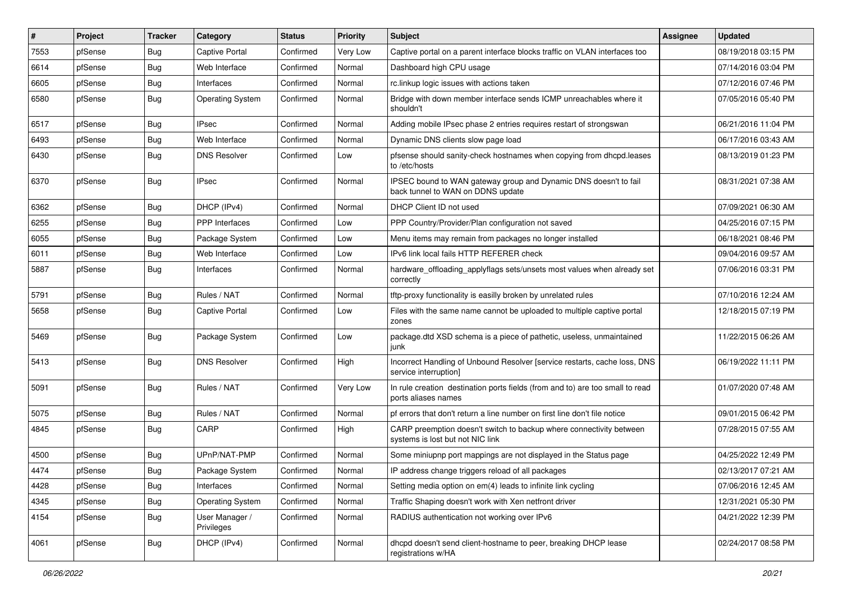| #    | Project | <b>Tracker</b> | Category                     | <b>Status</b> | <b>Priority</b> | Subject                                                                                                 | Assignee | <b>Updated</b>      |
|------|---------|----------------|------------------------------|---------------|-----------------|---------------------------------------------------------------------------------------------------------|----------|---------------------|
| 7553 | pfSense | <b>Bug</b>     | Captive Portal               | Confirmed     | Very Low        | Captive portal on a parent interface blocks traffic on VLAN interfaces too                              |          | 08/19/2018 03:15 PM |
| 6614 | pfSense | Bug            | Web Interface                | Confirmed     | Normal          | Dashboard high CPU usage                                                                                |          | 07/14/2016 03:04 PM |
| 6605 | pfSense | <b>Bug</b>     | Interfaces                   | Confirmed     | Normal          | rc.linkup logic issues with actions taken                                                               |          | 07/12/2016 07:46 PM |
| 6580 | pfSense | Bug            | <b>Operating System</b>      | Confirmed     | Normal          | Bridge with down member interface sends ICMP unreachables where it<br>shouldn't                         |          | 07/05/2016 05:40 PM |
| 6517 | pfSense | <b>Bug</b>     | <b>IPsec</b>                 | Confirmed     | Normal          | Adding mobile IPsec phase 2 entries requires restart of strongswan                                      |          | 06/21/2016 11:04 PM |
| 6493 | pfSense | <b>Bug</b>     | Web Interface                | Confirmed     | Normal          | Dynamic DNS clients slow page load                                                                      |          | 06/17/2016 03:43 AM |
| 6430 | pfSense | <b>Bug</b>     | <b>DNS Resolver</b>          | Confirmed     | Low             | pfsense should sanity-check hostnames when copying from dhcpd.leases<br>to /etc/hosts                   |          | 08/13/2019 01:23 PM |
| 6370 | pfSense | Bug            | IPsec                        | Confirmed     | Normal          | IPSEC bound to WAN gateway group and Dynamic DNS doesn't to fail<br>back tunnel to WAN on DDNS update   |          | 08/31/2021 07:38 AM |
| 6362 | pfSense | Bug            | DHCP (IPv4)                  | Confirmed     | Normal          | DHCP Client ID not used                                                                                 |          | 07/09/2021 06:30 AM |
| 6255 | pfSense | Bug            | PPP Interfaces               | Confirmed     | Low             | PPP Country/Provider/Plan configuration not saved                                                       |          | 04/25/2016 07:15 PM |
| 6055 | pfSense | <b>Bug</b>     | Package System               | Confirmed     | Low             | Menu items may remain from packages no longer installed                                                 |          | 06/18/2021 08:46 PM |
| 6011 | pfSense | <b>Bug</b>     | Web Interface                | Confirmed     | Low             | IPv6 link local fails HTTP REFERER check                                                                |          | 09/04/2016 09:57 AM |
| 5887 | pfSense | <b>Bug</b>     | Interfaces                   | Confirmed     | Normal          | hardware_offloading_applyflags sets/unsets most values when already set<br>correctly                    |          | 07/06/2016 03:31 PM |
| 5791 | pfSense | Bug            | Rules / NAT                  | Confirmed     | Normal          | tftp-proxy functionality is easilly broken by unrelated rules                                           |          | 07/10/2016 12:24 AM |
| 5658 | pfSense | Bug            | <b>Captive Portal</b>        | Confirmed     | Low             | Files with the same name cannot be uploaded to multiple captive portal<br>zones                         |          | 12/18/2015 07:19 PM |
| 5469 | pfSense | <b>Bug</b>     | Package System               | Confirmed     | Low             | package.dtd XSD schema is a piece of pathetic, useless, unmaintained<br>junk                            |          | 11/22/2015 06:26 AM |
| 5413 | pfSense | Bug            | <b>DNS Resolver</b>          | Confirmed     | High            | Incorrect Handling of Unbound Resolver [service restarts, cache loss, DNS<br>service interruption]      |          | 06/19/2022 11:11 PM |
| 5091 | pfSense | Bug            | Rules / NAT                  | Confirmed     | Very Low        | In rule creation destination ports fields (from and to) are too small to read<br>ports aliases names    |          | 01/07/2020 07:48 AM |
| 5075 | pfSense | <b>Bug</b>     | Rules / NAT                  | Confirmed     | Normal          | pf errors that don't return a line number on first line don't file notice                               |          | 09/01/2015 06:42 PM |
| 4845 | pfSense | <b>Bug</b>     | CARP                         | Confirmed     | High            | CARP preemption doesn't switch to backup where connectivity between<br>systems is lost but not NIC link |          | 07/28/2015 07:55 AM |
| 4500 | pfSense | <b>Bug</b>     | UPnP/NAT-PMP                 | Confirmed     | Normal          | Some miniupnp port mappings are not displayed in the Status page                                        |          | 04/25/2022 12:49 PM |
| 4474 | pfSense | <b>Bug</b>     | Package System               | Confirmed     | Normal          | IP address change triggers reload of all packages                                                       |          | 02/13/2017 07:21 AM |
| 4428 | pfSense | <b>Bug</b>     | Interfaces                   | Confirmed     | Normal          | Setting media option on em(4) leads to infinite link cycling                                            |          | 07/06/2016 12:45 AM |
| 4345 | pfSense | <b>Bug</b>     | <b>Operating System</b>      | Confirmed     | Normal          | Traffic Shaping doesn't work with Xen netfront driver                                                   |          | 12/31/2021 05:30 PM |
| 4154 | pfSense | Bug            | User Manager /<br>Privileges | Confirmed     | Normal          | RADIUS authentication not working over IPv6                                                             |          | 04/21/2022 12:39 PM |
| 4061 | pfSense | <b>Bug</b>     | DHCP (IPv4)                  | Confirmed     | Normal          | dhcpd doesn't send client-hostname to peer, breaking DHCP lease<br>registrations w/HA                   |          | 02/24/2017 08:58 PM |